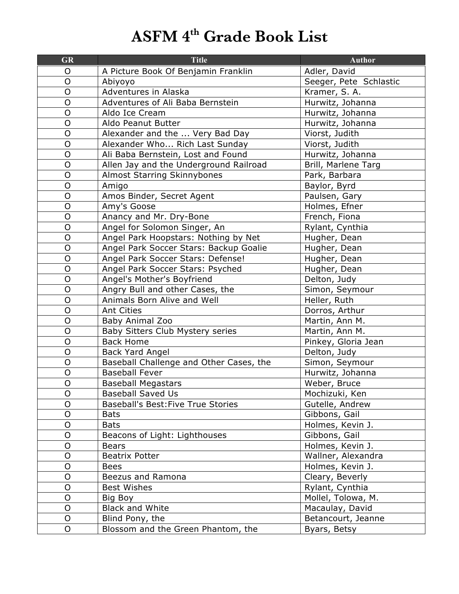## **ASFM 4th Grade Book List**

| <b>GR</b>      | <b>Title</b>                              | <b>Author</b>          |
|----------------|-------------------------------------------|------------------------|
| O              | A Picture Book Of Benjamin Franklin       | Adler, David           |
| $\mathsf O$    | Abiyoyo                                   | Seeger, Pete Schlastic |
| O              | Adventures in Alaska                      | Kramer, S. A.          |
| $\overline{O}$ | Adventures of Ali Baba Bernstein          | Hurwitz, Johanna       |
| $\mathsf O$    | Aldo Ice Cream                            | Hurwitz, Johanna       |
| O              | Aldo Peanut Butter                        | Hurwitz, Johanna       |
| $\overline{O}$ | Alexander and the  Very Bad Day           | Viorst, Judith         |
| O              | Alexander Who Rich Last Sunday            | Viorst, Judith         |
| $\mathsf{O}$   | Ali Baba Bernstein, Lost and Found        | Hurwitz, Johanna       |
| $\mathsf O$    | Allen Jay and the Underground Railroad    | Brill, Marlene Targ    |
| $\overline{O}$ | <b>Almost Starring Skinnybones</b>        | Park, Barbara          |
| $\mathsf{O}$   | Amigo                                     | Baylor, Byrd           |
| $\overline{O}$ | Amos Binder, Secret Agent                 | Paulsen, Gary          |
| O              | Amy's Goose                               | Holmes, Efner          |
| $\overline{O}$ | Anancy and Mr. Dry-Bone                   | French, Fiona          |
| $\mathsf O$    | Angel for Solomon Singer, An              | Rylant, Cynthia        |
| $\overline{O}$ | Angel Park Hoopstars: Nothing by Net      | Hugher, Dean           |
| $\mathsf O$    | Angel Park Soccer Stars: Backup Goalie    | Hugher, Dean           |
| $\overline{O}$ | Angel Park Soccer Stars: Defense!         | Hugher, Dean           |
| $\overline{O}$ | Angel Park Soccer Stars: Psyched          | Hugher, Dean           |
| $\overline{O}$ | Angel's Mother's Boyfriend                | Delton, Judy           |
| $\mathsf{O}$   | Angry Bull and other Cases, the           | Simon, Seymour         |
| $\overline{O}$ | Animals Born Alive and Well               | Heller, Ruth           |
| $\mathsf O$    | <b>Ant Cities</b>                         | Dorros, Arthur         |
| $\overline{O}$ | Baby Animal Zoo                           | Martin, Ann M.         |
| $\mathsf O$    | Baby Sitters Club Mystery series          | Martin, Ann M.         |
| $\overline{O}$ | <b>Back Home</b>                          | Pinkey, Gloria Jean    |
| $\mathsf O$    | Back Yard Angel                           | Delton, Judy           |
| $\circ$        | Baseball Challenge and Other Cases, the   | Simon, Seymour         |
| $\mathsf O$    | <b>Baseball Fever</b>                     | Hurwitz, Johanna       |
| O              | <b>Baseball Megastars</b>                 | Weber, Bruce           |
| 0              | <b>Baseball Saved Us</b>                  | Mochizuki, Ken         |
| O              | <b>Baseball's Best: Five True Stories</b> | Gutelle, Andrew        |
| O              | <b>Bats</b>                               | Gibbons, Gail          |
| $\overline{O}$ | <b>Bats</b>                               | Holmes, Kevin J.       |
| $\mathsf O$    | Beacons of Light: Lighthouses             | Gibbons, Gail          |
| O              | <b>Bears</b>                              | Holmes, Kevin J.       |
| $\circ$        | <b>Beatrix Potter</b>                     | Wallner, Alexandra     |
| O              | <b>Bees</b>                               | Holmes, Kevin J.       |
| O              | Beezus and Ramona                         | Cleary, Beverly        |
| $\mathsf O$    | <b>Best Wishes</b>                        | Rylant, Cynthia        |
| $\circ$        | Big Boy                                   | Mollel, Tolowa, M.     |
| O              | <b>Black and White</b>                    | Macaulay, David        |
| O              | Blind Pony, the                           | Betancourt, Jeanne     |
| $\circ$        | Blossom and the Green Phantom, the        | Byars, Betsy           |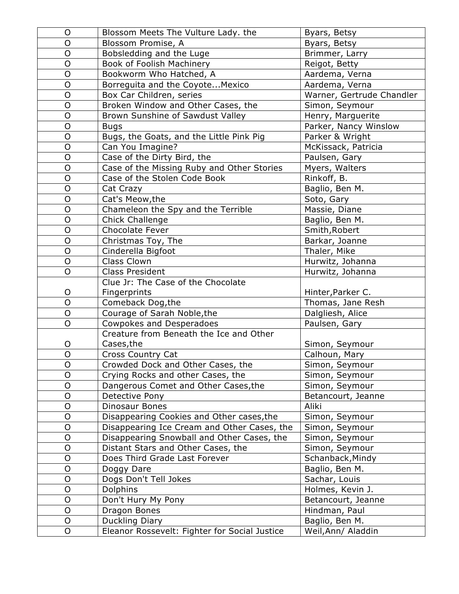| $\circ$        | Blossom Meets The Vulture Lady. the           | Byars, Betsy              |
|----------------|-----------------------------------------------|---------------------------|
| $\mathsf{O}$   | Blossom Promise, A                            | Byars, Betsy              |
| $\mathsf{O}$   | Bobsledding and the Luge                      | Brimmer, Larry            |
| $\mathsf{O}$   | Book of Foolish Machinery                     | Reigot, Betty             |
| $\circ$        | Bookworm Who Hatched, A                       | Aardema, Verna            |
| $\mathsf{O}$   | Borreguita and the Coyote Mexico              | Aardema, Verna            |
| $\mathsf{O}$   | Box Car Children, series                      | Warner, Gertrude Chandler |
| $\overline{O}$ | Broken Window and Other Cases, the            | Simon, Seymour            |
| $\mathsf{O}$   | Brown Sunshine of Sawdust Valley              | Henry, Marguerite         |
| $\mathsf{O}$   | <b>Bugs</b>                                   | Parker, Nancy Winslow     |
| $\circ$        | Bugs, the Goats, and the Little Pink Pig      | Parker & Wright           |
| $\mathsf{O}$   | Can You Imagine?                              | McKissack, Patricia       |
| $\mathsf{O}$   | Case of the Dirty Bird, the                   | Paulsen, Gary             |
| $\mathsf{O}$   | Case of the Missing Ruby and Other Stories    | Myers, Walters            |
| $\mathsf{O}$   | Case of the Stolen Code Book                  | Rinkoff, B.               |
| $\mathsf{O}$   | Cat Crazy                                     | Baglio, Ben M.            |
| $\circ$        | Cat's Meow, the                               | Soto, Gary                |
| $\mathsf{O}$   | Chameleon the Spy and the Terrible            | Massie, Diane             |
| $\mathsf{O}$   | Chick Challenge                               | Baglio, Ben M.            |
| $\mathsf{O}$   | Chocolate Fever                               | Smith, Robert             |
| $\mathsf{O}$   | Christmas Toy, The                            | Barkar, Joanne            |
| $\mathsf{O}$   | Cinderella Bigfoot                            | Thaler, Mike              |
| $\mathsf{O}$   | Class Clown                                   | Hurwitz, Johanna          |
| $\overline{O}$ | <b>Class President</b>                        | Hurwitz, Johanna          |
|                | Clue Jr: The Case of the Chocolate            |                           |
| $\mathsf{O}$   | Fingerprints                                  | Hinter, Parker C.         |
| $\mathsf{O}$   | Comeback Dog, the                             | Thomas, Jane Resh         |
| $\overline{O}$ | Courage of Sarah Noble, the                   | Dalgliesh, Alice          |
| $\mathsf{O}$   | Cowpokes and Desperadoes                      | Paulsen, Gary             |
|                | Creature from Beneath the Ice and Other       |                           |
| O              | Cases, the                                    | Simon, Seymour            |
| $\circ$        | Cross Country Cat                             | Calhoun, Mary             |
| ${\mathsf O}$  | Crowded Dock and Other Cases, the             | Simon, Seymour            |
| O              | Crying Rocks and other Cases, the             | Simon, Seymour            |
| $\circ$        | Dangerous Comet and Other Cases, the          | Simon, Seymour            |
| $\mathsf{O}$   | Detective Pony                                | Betancourt, Jeanne        |
| $\mathsf{O}$   | Dinosaur Bones                                | Aliki                     |
| $\circ$        | Disappearing Cookies and Other cases, the     | Simon, Seymour            |
| $\circ$        | Disappearing Ice Cream and Other Cases, the   | Simon, Seymour            |
| $\mathsf O$    | Disappearing Snowball and Other Cases, the    | Simon, Seymour            |
| $\mathsf{O}$   | Distant Stars and Other Cases, the            | Simon, Seymour            |
| $\mathsf{O}$   | Does Third Grade Last Forever                 | Schanback, Mindy          |
| $\overline{O}$ | Doggy Dare                                    | Baglio, Ben M.            |
| $\mathsf{O}$   | Dogs Don't Tell Jokes                         | Sachar, Louis             |
| $\mathsf{O}$   | Dolphins                                      | Holmes, Kevin J.          |
| $\mathsf{O}$   | Don't Hury My Pony                            | Betancourt, Jeanne        |
| $\mathsf{O}$   | Dragon Bones                                  | Hindman, Paul             |
| $\mathsf{O}$   | Duckling Diary                                | Baglio, Ben M.            |
| $\mathsf{O}$   | Eleanor Rossevelt: Fighter for Social Justice | Weil, Ann/ Aladdin        |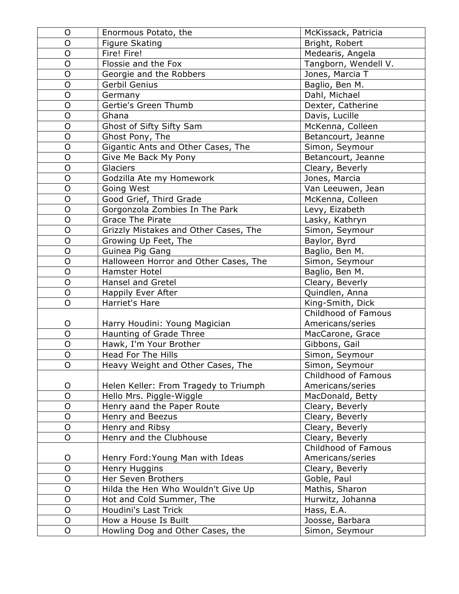| O              | Enormous Potato, the                  | McKissack, Patricia  |
|----------------|---------------------------------------|----------------------|
| O              | Figure Skating                        | Bright, Robert       |
| $\overline{O}$ | Fire! Fire!                           | Medearis, Angela     |
| $\overline{O}$ | Flossie and the Fox                   | Tangborn, Wendell V. |
| $\overline{O}$ | Georgie and the Robbers               | Jones, Marcia T      |
| $\mathsf{O}$   | Gerbil Genius                         | Baglio, Ben M.       |
| $\overline{O}$ | Germany                               | Dahl, Michael        |
| $\circ$        | Gertie's Green Thumb                  | Dexter, Catherine    |
| $\overline{O}$ | Ghana                                 | Davis, Lucille       |
| O              | Ghost of Sifty Sifty Sam              | McKenna, Colleen     |
| $\overline{O}$ | Ghost Pony, The                       | Betancourt, Jeanne   |
| $\mathsf O$    | Gigantic Ants and Other Cases, The    | Simon, Seymour       |
| $\overline{O}$ | Give Me Back My Pony                  | Betancourt, Jeanne   |
| $\overline{O}$ | Glaciers                              | Cleary, Beverly      |
| $\mathsf O$    | Godzilla Ate my Homework              | Jones, Marcia        |
| $\circ$        | Going West                            | Van Leeuwen, Jean    |
| $\overline{O}$ | Good Grief, Third Grade               | McKenna, Colleen     |
| $\overline{O}$ | Gorgonzola Zombies In The Park        | Levy, Eizabeth       |
| $\overline{O}$ | Grace The Pirate                      | Lasky, Kathryn       |
| $\overline{O}$ | Grizzly Mistakes and Other Cases, The | Simon, Seymour       |
| $\overline{O}$ | Growing Up Feet, The                  | Baylor, Byrd         |
| $\mathsf{O}$   | Guinea Pig Gang                       | Baglio, Ben M.       |
| $\overline{O}$ | Halloween Horror and Other Cases, The | Simon, Seymour       |
| $\circ$        | Hamster Hotel                         | Baglio, Ben M.       |
| $\overline{O}$ | <b>Hansel and Gretel</b>              | Cleary, Beverly      |
| $\overline{O}$ | Happily Ever After                    | Quindlen, Anna       |
| O              | Harriet's Hare                        | King-Smith, Dick     |
|                |                                       | Childhood of Famous  |
| O              | Harry Houdini: Young Magician         | Americans/series     |
| $\overline{O}$ | Haunting of Grade Three               | MacCarone, Grace     |
| $\overline{O}$ | Hawk, I'm Your Brother                | Gibbons, Gail        |
| $\mathsf O$    | Head For The Hills                    | Simon, Seymour       |
| O              | Heavy Weight and Other Cases, The     | Simon, Seymour       |
|                |                                       | Childhood of Famous  |
| O              | Helen Keller: From Tragedy to Triumph | Americans/series     |
| $\overline{O}$ | Hello Mrs. Piggle-Wiggle              | MacDonald, Betty     |
| $\mathsf O$    | Henry aand the Paper Route            | Cleary, Beverly      |
| $\mathsf O$    | Henry and Beezus                      | Cleary, Beverly      |
| $\mathsf{O}$   | Henry and Ribsy                       | Cleary, Beverly      |
| $\overline{O}$ | Henry and the Clubhouse               | Cleary, Beverly      |
|                |                                       | Childhood of Famous  |
| O              | Henry Ford: Young Man with Ideas      | Americans/series     |
| O              | Henry Huggins                         | Cleary, Beverly      |
| $\circ$        | Her Seven Brothers                    | Goble, Paul          |
| $\circ$        | Hilda the Hen Who Wouldn't Give Up    | Mathis, Sharon       |
| O              | Hot and Cold Summer, The              | Hurwitz, Johanna     |
| $\circ$        | Houdini's Last Trick                  | Hass, E.A.           |
| $\mathsf O$    | How a House Is Built                  | Joosse, Barbara      |
| O              | Howling Dog and Other Cases, the      | Simon, Seymour       |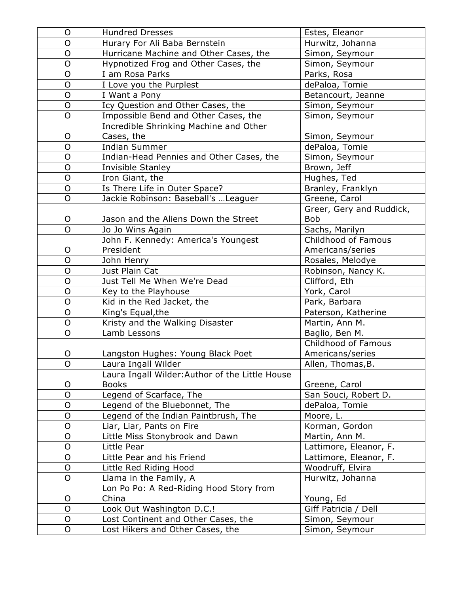| O              | <b>Hundred Dresses</b>                          | Estes, Eleanor           |
|----------------|-------------------------------------------------|--------------------------|
| O              | Hurary For Ali Baba Bernstein                   | Hurwitz, Johanna         |
| O              | Hurricane Machine and Other Cases, the          | Simon, Seymour           |
| $\overline{O}$ | Hypnotized Frog and Other Cases, the            | Simon, Seymour           |
| $\mathsf O$    | I am Rosa Parks                                 | Parks, Rosa              |
| O              | I Love you the Purplest                         | dePaloa, Tomie           |
| $\overline{O}$ | I Want a Pony                                   | Betancourt, Jeanne       |
| $\circ$        | Icy Question and Other Cases, the               | Simon, Seymour           |
| $\overline{O}$ | Impossible Bend and Other Cases, the            | Simon, Seymour           |
|                | Incredible Shrinking Machine and Other          |                          |
| O              | Cases, the                                      | Simon, Seymour           |
| O              | <b>Indian Summer</b>                            | dePaloa, Tomie           |
| O              | Indian-Head Pennies and Other Cases, the        | Simon, Seymour           |
| $\overline{O}$ | Invisible Stanley                               | Brown, Jeff              |
| $\circ$        | Iron Giant, the                                 | Hughes, Ted              |
| $\mathsf O$    | Is There Life in Outer Space?                   | Branley, Franklyn        |
| O              | Jackie Robinson: Baseball's  Leaguer            | Greene, Carol            |
|                |                                                 | Greer, Gery and Ruddick, |
| $\mathsf O$    | Jason and the Aliens Down the Street            | <b>Bob</b>               |
| $\overline{O}$ | Jo Jo Wins Again                                | Sachs, Marilyn           |
|                | John F. Kennedy: America's Youngest             | Childhood of Famous      |
| O              | President                                       | Americans/series         |
| O              | John Henry                                      | Rosales, Melodye         |
| O              | Just Plain Cat                                  | Robinson, Nancy K.       |
| $\circ$        | Just Tell Me When We're Dead                    | Clifford, Eth            |
| $\mathsf O$    | Key to the Playhouse                            | York, Carol              |
| $\overline{O}$ | Kid in the Red Jacket, the                      | Park, Barbara            |
| $\mathsf O$    | King's Equal, the                               | Paterson, Katherine      |
| $\mathsf O$    | Kristy and the Walking Disaster                 | Martin, Ann M.           |
| $\overline{O}$ | Lamb Lessons                                    | Baglio, Ben M.           |
|                |                                                 | Childhood of Famous      |
| $\circ$        | Langston Hughes: Young Black Poet               | Americans/series         |
| $\mathsf O$    | Laura Ingall Wilder                             | Allen, Thomas, B.        |
|                | Laura Ingall Wilder: Author of the Little House |                          |
| O              | <b>Books</b>                                    | Greene, Carol            |
| $\overline{O}$ | Legend of Scarface, The                         | San Souci, Robert D.     |
| $\circ$        | Legend of the Bluebonnet, The                   | dePaloa, Tomie           |
| $\circ$        | Legend of the Indian Paintbrush, The            | Moore, L.                |
| $\mathsf O$    | Liar, Liar, Pants on Fire                       | Korman, Gordon           |
| $\circ$        | Little Miss Stonybrook and Dawn                 | Martin, Ann M.           |
| O              | Little Pear                                     | Lattimore, Eleanor, F.   |
| $\mathsf O$    | Little Pear and his Friend                      | Lattimore, Eleanor, F.   |
| $\circ$        | Little Red Riding Hood                          | Woodruff, Elvira         |
| $\circ$        | Llama in the Family, A                          | Hurwitz, Johanna         |
|                | Lon Po Po: A Red-Riding Hood Story from         |                          |
| O              | China                                           | Young, Ed                |
| $\overline{O}$ | Look Out Washington D.C.!                       | Giff Patricia / Dell     |
| $\circ$        | Lost Continent and Other Cases, the             | Simon, Seymour           |
| $\mathsf{O}$   | Lost Hikers and Other Cases, the                | Simon, Seymour           |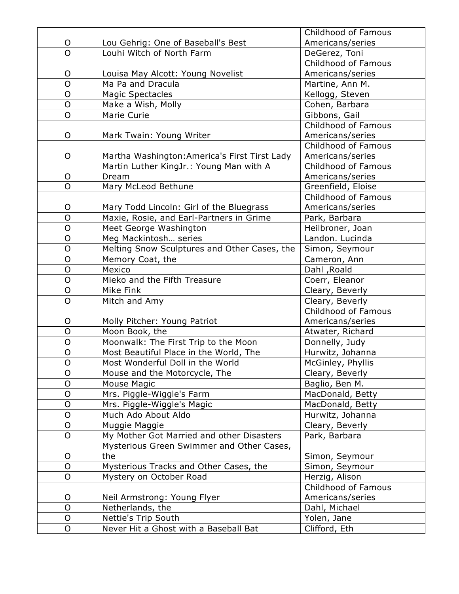|                |                                               | Childhood of Famous |
|----------------|-----------------------------------------------|---------------------|
| O              | Lou Gehrig: One of Baseball's Best            | Americans/series    |
| $\overline{O}$ | Louhi Witch of North Farm                     | DeGerez, Toni       |
|                |                                               | Childhood of Famous |
| O              | Louisa May Alcott: Young Novelist             | Americans/series    |
| $\overline{O}$ | Ma Pa and Dracula                             | Martine, Ann M.     |
| $\mathsf{O}$   | <b>Magic Spectacles</b>                       | Kellogg, Steven     |
| $\overline{O}$ | Make a Wish, Molly                            | Cohen, Barbara      |
| $\overline{O}$ | Marie Curie                                   | Gibbons, Gail       |
|                |                                               | Childhood of Famous |
| O              | Mark Twain: Young Writer                      | Americans/series    |
|                |                                               | Childhood of Famous |
| O              | Martha Washington: America's First Tirst Lady | Americans/series    |
|                | Martin Luther KingJr.: Young Man with A       | Childhood of Famous |
| O              | Dream                                         | Americans/series    |
| $\overline{O}$ | Mary McLeod Bethune                           | Greenfield, Eloise  |
|                |                                               | Childhood of Famous |
| O              | Mary Todd Lincoln: Girl of the Bluegrass      | Americans/series    |
| $\overline{O}$ | Maxie, Rosie, and Earl-Partners in Grime      | Park, Barbara       |
| $\overline{O}$ | Meet George Washington                        | Heilbroner, Joan    |
| $\mathsf{O}$   | Meg Mackintosh series                         | Landon. Lucinda     |
| $\overline{O}$ | Melting Snow Sculptures and Other Cases, the  | Simon, Seymour      |
| $\overline{O}$ | Memory Coat, the                              | Cameron, Ann        |
| $\overline{O}$ | Mexico                                        | Dahl, Roald         |
| $\overline{O}$ | Mieko and the Fifth Treasure                  | Coerr, Eleanor      |
| $\overline{O}$ | Mike Fink                                     | Cleary, Beverly     |
| $\overline{O}$ | Mitch and Amy                                 | Cleary, Beverly     |
|                |                                               | Childhood of Famous |
| O              | Molly Pitcher: Young Patriot                  | Americans/series    |
| $\overline{O}$ | Moon Book, the                                | Atwater, Richard    |
| O              | Moonwalk: The First Trip to the Moon          | Donnelly, Judy      |
| $\overline{O}$ | Most Beautiful Place in the World, The        | Hurwitz, Johanna    |
| $\overline{O}$ | Most Wonderful Doll in the World              | McGinley, Phyllis   |
| O              | Mouse and the Motorcycle, The                 | Cleary, Beverly     |
| O              | Mouse Magic                                   | Baglio, Ben M.      |
| O              | Mrs. Piggle-Wiggle's Farm                     | MacDonald, Betty    |
| $\mathsf O$    | Mrs. Piggle-Wiggle's Magic                    | MacDonald, Betty    |
| $\overline{O}$ | Much Ado About Aldo                           | Hurwitz, Johanna    |
| O              | Muggie Maggie                                 | Cleary, Beverly     |
| $\overline{O}$ | My Mother Got Married and other Disasters     | Park, Barbara       |
|                | Mysterious Green Swimmer and Other Cases,     |                     |
| O              | the                                           | Simon, Seymour      |
| $\mathsf O$    | Mysterious Tracks and Other Cases, the        | Simon, Seymour      |
| O              | Mystery on October Road                       | Herzig, Alison      |
|                |                                               | Childhood of Famous |
| O              | Neil Armstrong: Young Flyer                   | Americans/series    |
| $\mathsf O$    | Netherlands, the                              | Dahl, Michael       |
| O              | Nettie's Trip South                           | Yolen, Jane         |
| $\mathsf O$    | Never Hit a Ghost with a Baseball Bat         | Clifford, Eth       |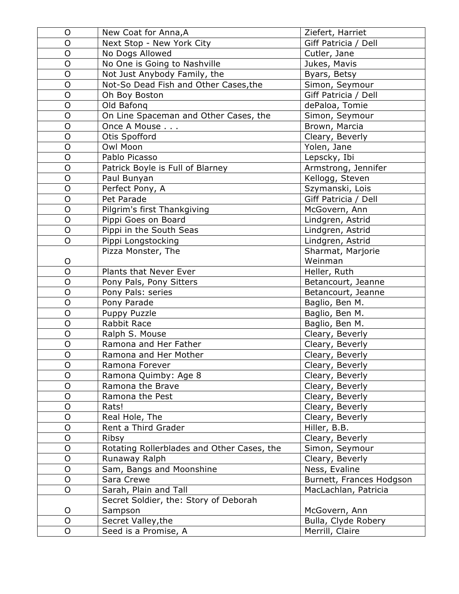| O              | New Coat for Anna, A                       | Ziefert, Harriet         |
|----------------|--------------------------------------------|--------------------------|
| O              | Next Stop - New York City                  | Giff Patricia / Dell     |
| O              | No Dogs Allowed                            | Cutler, Jane             |
| O              | No One is Going to Nashville               | Jukes, Mavis             |
| O              | Not Just Anybody Family, the               | Byars, Betsy             |
| $\overline{O}$ | Not-So Dead Fish and Other Cases, the      | Simon, Seymour           |
| $\overline{O}$ | Oh Boy Boston                              | Giff Patricia / Dell     |
| O              | Old Bafong                                 | dePaloa, Tomie           |
| $\mathsf{O}$   | On Line Spaceman and Other Cases, the      | Simon, Seymour           |
| O              | Once A Mouse                               | Brown, Marcia            |
| O              | Otis Spofford                              | Cleary, Beverly          |
| $\overline{O}$ | Owl Moon                                   | Yolen, Jane              |
| O              | Pablo Picasso                              | Lepscky, Ibi             |
| $\overline{O}$ | Patrick Boyle is Full of Blarney           | Armstrong, Jennifer      |
| $\mathsf O$    | Paul Bunyan                                | Kellogg, Steven          |
| O              | Perfect Pony, A                            | Szymanski, Lois          |
| $\mathsf{O}$   | Pet Parade                                 | Giff Patricia / Dell     |
| $\overline{O}$ | Pilgrim's first Thankgiving                | McGovern, Ann            |
| O              | Pippi Goes on Board                        | Lindgren, Astrid         |
| $\overline{O}$ | Pippi in the South Seas                    | Lindgren, Astrid         |
| O              | Pippi Longstocking                         | Lindgren, Astrid         |
|                | Pizza Monster, The                         | Sharmat, Marjorie        |
| O              |                                            | Weinman                  |
| $\overline{O}$ | Plants that Never Ever                     | Heller, Ruth             |
| $\overline{O}$ | Pony Pals, Pony Sitters                    | Betancourt, Jeanne       |
| O              | Pony Pals: series                          | Betancourt, Jeanne       |
| $\overline{O}$ | Pony Parade                                | Baglio, Ben M.           |
| $\overline{O}$ | Puppy Puzzle                               | Baglio, Ben M.           |
| O              | Rabbit Race                                | Baglio, Ben M.           |
| $\overline{O}$ | Ralph S. Mouse                             | Cleary, Beverly          |
| $\mathsf O$    | Ramona and Her Father                      | Cleary, Beverly          |
| $\overline{O}$ | Ramona and Her Mother                      | Cleary, Beverly          |
| $\mathsf O$    | Ramona Forever                             | Cleary, Beverly          |
| O              | Ramona Quimby: Age 8                       | Cleary, Beverly          |
| O              | Ramona the Brave                           | Cleary, Beverly          |
| O              | Ramona the Pest                            | Cleary, Beverly          |
| O              | Rats!                                      | Cleary, Beverly          |
| $\mathsf O$    | Real Hole, The                             | Cleary, Beverly          |
| O              | Rent a Third Grader                        | Hiller, B.B.             |
| $\mathsf O$    | Ribsy                                      | Cleary, Beverly          |
| $\mathsf O$    | Rotating Rollerblades and Other Cases, the | Simon, Seymour           |
| O              | Runaway Ralph                              | Cleary, Beverly          |
| O              | Sam, Bangs and Moonshine                   | Ness, Evaline            |
| $\mathsf O$    | Sara Crewe                                 | Burnett, Frances Hodgson |
| O              | Sarah, Plain and Tall                      | MacLachlan, Patricia     |
|                | Secret Soldier, the: Story of Deborah      |                          |
| O              | Sampson                                    | McGovern, Ann            |
| O              | Secret Valley, the                         | Bulla, Clyde Robery      |
| O              | Seed is a Promise, A                       | Merrill, Claire          |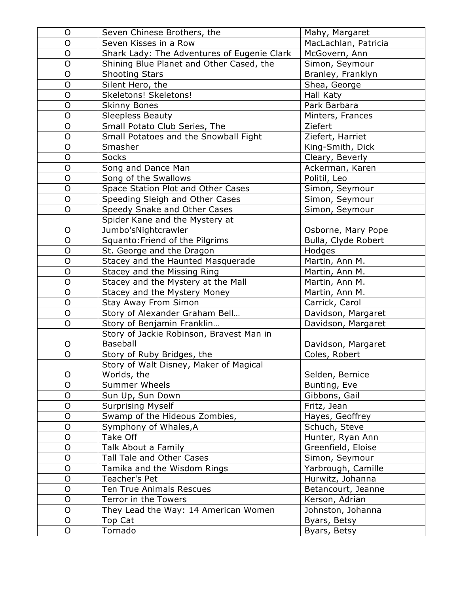| O              | Seven Chinese Brothers, the                 | Mahy, Margaret       |
|----------------|---------------------------------------------|----------------------|
| O              | Seven Kisses in a Row                       | MacLachlan, Patricia |
| O              | Shark Lady: The Adventures of Eugenie Clark | McGovern, Ann        |
| O              | Shining Blue Planet and Other Cased, the    | Simon, Seymour       |
| 0              | <b>Shooting Stars</b>                       | Branley, Franklyn    |
| $\overline{O}$ | Silent Hero, the                            | Shea, George         |
| $\circ$        | Skeletons! Skeletons!                       | Hall Katy            |
| O              | <b>Skinny Bones</b>                         | Park Barbara         |
| $\mathsf O$    | <b>Sleepless Beauty</b>                     | Minters, Frances     |
| O              | Small Potato Club Series, The               | Ziefert              |
| O              | Small Potatoes and the Snowball Fight       | Ziefert, Harriet     |
| $\mathsf O$    | Smasher                                     | King-Smith, Dick     |
| O              | <b>Socks</b>                                | Cleary, Beverly      |
| $\overline{O}$ | Song and Dance Man                          | Ackerman, Karen      |
| $\mathsf O$    | Song of the Swallows                        | Politil, Leo         |
| O              | Space Station Plot and Other Cases          | Simon, Seymour       |
| O              | Speeding Sleigh and Other Cases             | Simon, Seymour       |
| O              | Speedy Snake and Other Cases                | Simon, Seymour       |
|                | Spider Kane and the Mystery at              |                      |
| O              | Jumbo'sNightcrawler                         | Osborne, Mary Pope   |
| O              | Squanto: Friend of the Pilgrims             | Bulla, Clyde Robert  |
| $\circ$        | St. George and the Dragon                   | Hodges               |
| O              | Stacey and the Haunted Masquerade           | Martin, Ann M.       |
| $\mathsf O$    | Stacey and the Missing Ring                 | Martin, Ann M.       |
| $\overline{O}$ | Stacey and the Mystery at the Mall          | Martin, Ann M.       |
| O              | Stacey and the Mystery Money                | Martin, Ann M.       |
| $\mathsf O$    | Stay Away From Simon                        | Carrick, Carol       |
| $\overline{O}$ | Story of Alexander Graham Bell              | Davidson, Margaret   |
| O              | Story of Benjamin Franklin                  | Davidson, Margaret   |
|                | Story of Jackie Robinson, Bravest Man in    |                      |
| O              | <b>Baseball</b>                             | Davidson, Margaret   |
| $\overline{O}$ | Story of Ruby Bridges, the                  | Coles, Robert        |
|                | Story of Walt Disney, Maker of Magical      |                      |
| O              | Worlds, the                                 | Selden, Bernice      |
| O              | <b>Summer Wheels</b>                        | Bunting, Eve         |
| O              | Sun Up, Sun Down                            | Gibbons, Gail        |
| O              | <b>Surprising Myself</b>                    | Fritz, Jean          |
| $\mathsf O$    | Swamp of the Hideous Zombies,               | Hayes, Geoffrey      |
| O              | Symphony of Whales, A                       | Schuch, Steve        |
| $\mathsf O$    | Take Off                                    | Hunter, Ryan Ann     |
| O              | Talk About a Family                         | Greenfield, Eloise   |
| O              | Tall Tale and Other Cases                   | Simon, Seymour       |
| O              | Tamika and the Wisdom Rings                 | Yarbrough, Camille   |
| O              | Teacher's Pet                               | Hurwitz, Johanna     |
| $\overline{O}$ | Ten True Animals Rescues                    | Betancourt, Jeanne   |
| O              | Terror in the Towers                        | Kerson, Adrian       |
| $\mathsf O$    | They Lead the Way: 14 American Women        | Johnston, Johanna    |
| O              | Top Cat                                     | Byars, Betsy         |
| O              | Tornado                                     | Byars, Betsy         |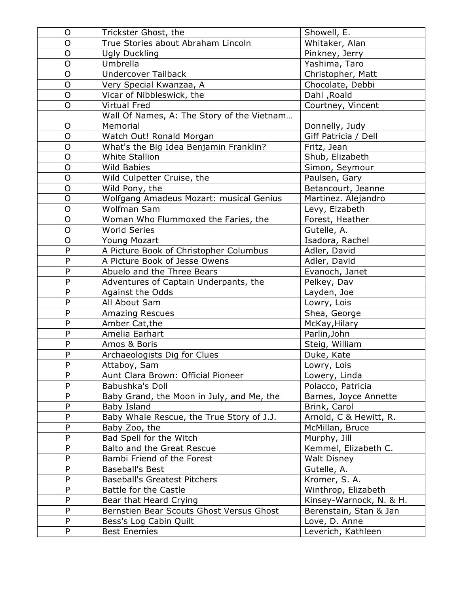| O                 | Trickster Ghost, the                         | Showell, E.                    |
|-------------------|----------------------------------------------|--------------------------------|
| O                 | True Stories about Abraham Lincoln           | Whitaker, Alan                 |
| O                 | <b>Ugly Duckling</b>                         | Pinkney, Jerry                 |
| O                 | Umbrella                                     | Yashima, Taro                  |
| $\mathsf{O}$      | <b>Undercover Tailback</b>                   | Christopher, Matt              |
| O                 | Very Special Kwanzaa, A                      | Chocolate, Debbi               |
| $\overline{O}$    | Vicar of Nibbleswick, the                    | Dahl , Roald                   |
| $\mathsf O$       | <b>Virtual Fred</b>                          | Courtney, Vincent              |
|                   | Wall Of Names, A: The Story of the Vietnam   |                                |
| O                 | Memorial                                     | Donnelly, Judy                 |
| $\overline{O}$    | Watch Out! Ronald Morgan                     | Giff Patricia / Dell           |
| $\mathsf{O}$      | What's the Big Idea Benjamin Franklin?       | Fritz, Jean                    |
| O                 | <b>White Stallion</b>                        | Shub, Elizabeth                |
| $\overline{O}$    | <b>Wild Babies</b>                           | Simon, Seymour                 |
| O                 | Wild Culpetter Cruise, the                   | Paulsen, Gary                  |
| $\overline{O}$    | Wild Pony, the                               | Betancourt, Jeanne             |
| $\overline{O}$    | Wolfgang Amadeus Mozart: musical Genius      | Martinez. Alejandro            |
| $\mathsf{O}$      | Wolfman Sam                                  | Levy, Eizabeth                 |
| $\overline{O}$    | Woman Who Flummoxed the Faries, the          | Forest, Heather                |
| $\overline{O}$    | <b>World Series</b>                          | Gutelle, A.                    |
| O                 | Young Mozart                                 | Isadora, Rachel                |
| $\mathsf{P}$      | A Picture Book of Christopher Columbus       | Adler, David                   |
| P                 | A Picture Book of Jesse Owens                | Adler, David                   |
| $\mathsf{P}$      | Abuelo and the Three Bears                   | Evanoch, Janet                 |
| ${\sf P}$         | Adventures of Captain Underpants, the        | Pelkey, Dav                    |
| P<br>$\mathsf{P}$ | Against the Odds                             | Layden, Joe                    |
| P                 | All About Sam                                | Lowry, Lois                    |
| $\mathsf{P}$      | <b>Amazing Rescues</b>                       | Shea, George                   |
| ${\sf P}$         | Amber Cat, the                               | McKay, Hilary                  |
| ${\sf P}$         | Amelia Earhart<br>Amos & Boris               | Parlin, John<br>Steig, William |
| ${\sf P}$         |                                              | Duke, Kate                     |
| ${\sf P}$         | Archaeologists Dig for Clues<br>Attaboy, Sam | Lowry, Lois                    |
| $\mathsf{P}$      | Aunt Clara Brown: Official Pioneer           | Lowery, Linda                  |
| ${\sf P}$         | Babushka's Doll                              | Polacco, Patricia              |
| P                 | Baby Grand, the Moon in July, and Me, the    | Barnes, Joyce Annette          |
| P                 | Baby Island                                  | Brink, Carol                   |
| P                 | Baby Whale Rescue, the True Story of J.J.    | Arnold, C & Hewitt, R.         |
| P                 | Baby Zoo, the                                | McMillan, Bruce                |
| P                 | Bad Spell for the Witch                      | Murphy, Jill                   |
| ${\sf P}$         | Balto and the Great Rescue                   | Kemmel, Elizabeth C.           |
| P                 | Bambi Friend of the Forest                   | <b>Walt Disney</b>             |
| ${\sf P}$         | <b>Baseball's Best</b>                       | Gutelle, A.                    |
| ${\sf P}$         | <b>Baseball's Greatest Pitchers</b>          | Kromer, S. A.                  |
| ${\sf P}$         | Battle for the Castle                        | Winthrop, Elizabeth            |
| ${\sf P}$         | Bear that Heard Crying                       | Kinsey-Warnock, N. & H.        |
| P                 | Bernstien Bear Scouts Ghost Versus Ghost     | Berenstain, Stan & Jan         |
| P                 | Bess's Log Cabin Quilt                       | Love, D. Anne                  |
| P                 | <b>Best Enemies</b>                          | Leverich, Kathleen             |
|                   |                                              |                                |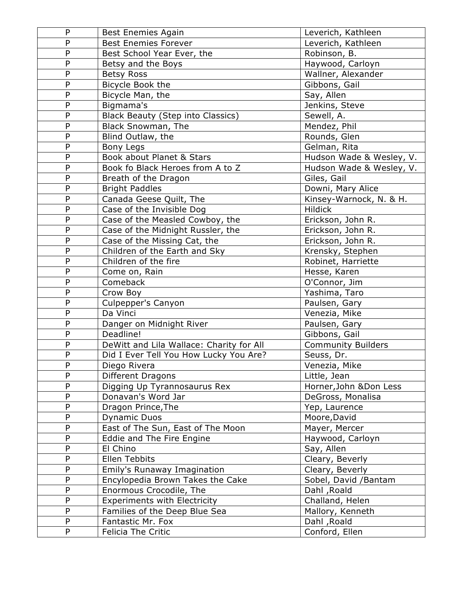| P              | <b>Best Enemies Again</b>                | Leverich, Kathleen        |
|----------------|------------------------------------------|---------------------------|
| P              | <b>Best Enemies Forever</b>              | Leverich, Kathleen        |
| P              | Best School Year Ever, the               | Robinson, B.              |
| P              | Betsy and the Boys                       | Haywood, Carloyn          |
| P              | <b>Betsy Ross</b>                        | Wallner, Alexander        |
| P              | Bicycle Book the                         | Gibbons, Gail             |
| P              | Bicycle Man, the                         | Say, Allen                |
| P              | Bigmama's                                | Jenkins, Steve            |
| P              | <b>Black Beauty (Step into Classics)</b> | Sewell, A.                |
| P              | Black Snowman, The                       | Mendez, Phil              |
| P              | Blind Outlaw, the                        | Rounds, Glen              |
| P              | <b>Bony Legs</b>                         | Gelman, Rita              |
| P              | Book about Planet & Stars                | Hudson Wade & Wesley, V.  |
| P              | Book fo Black Heroes from A to Z         | Hudson Wade & Wesley, V.  |
| $\overline{P}$ | Breath of the Dragon                     | Giles, Gail               |
| P              | <b>Bright Paddles</b>                    | Downi, Mary Alice         |
| P              | Canada Geese Quilt, The                  | Kinsey-Warnock, N. & H.   |
| P              | Case of the Invisible Dog                | <b>Hildick</b>            |
| P              | Case of the Measled Cowboy, the          | Erickson, John R.         |
| P              | Case of the Midnight Russler, the        | Erickson, John R.         |
| P              | Case of the Missing Cat, the             | Erickson, John R.         |
| P              | Children of the Earth and Sky            | Krensky, Stephen          |
| P              | Children of the fire                     | Robinet, Harriette        |
| P              | Come on, Rain                            | Hesse, Karen              |
| P              | Comeback                                 | O'Connor, Jim             |
| P              | Crow Boy                                 | Yashima, Taro             |
| P              | Culpepper's Canyon                       | Paulsen, Gary             |
| P              | Da Vinci                                 | Venezia, Mike             |
| P              | Danger on Midnight River                 | Paulsen, Gary             |
| P              | Deadline!                                | Gibbons, Gail             |
| $\overline{P}$ | DeWitt and Lila Wallace: Charity for All | <b>Community Builders</b> |
| P              | Did I Ever Tell You How Lucky You Are?   | Seuss, Dr.                |
| P              | Diego Rivera                             | Venezia, Mike             |
| P              | Different Dragons                        | Little, Jean              |
| P              | Digging Up Tyrannosaurus Rex             | Horner, John & Don Less   |
| P              | Donavan's Word Jar                       | DeGross, Monalisa         |
| P              | Dragon Prince, The                       | Yep, Laurence             |
| P              | <b>Dynamic Duos</b>                      | Moore, David              |
| P              | East of The Sun, East of The Moon        | Mayer, Mercer             |
| P              | Eddie and The Fire Engine                | Haywood, Carloyn          |
| P              | El Chino                                 | Say, Allen                |
| P              | Ellen Tebbits                            | Cleary, Beverly           |
| P              | Emily's Runaway Imagination              | Cleary, Beverly           |
| P              | Encylopedia Brown Takes the Cake         | Sobel, David /Bantam      |
| P              | Enormous Crocodile, The                  | Dahl, Roald               |
| P              | <b>Experiments with Electricity</b>      | Challand, Helen           |
| P              | Families of the Deep Blue Sea            | Mallory, Kenneth          |
| P              | Fantastic Mr. Fox                        | Dahl, Roald               |
| P              | Felicia The Critic                       | Conford, Ellen            |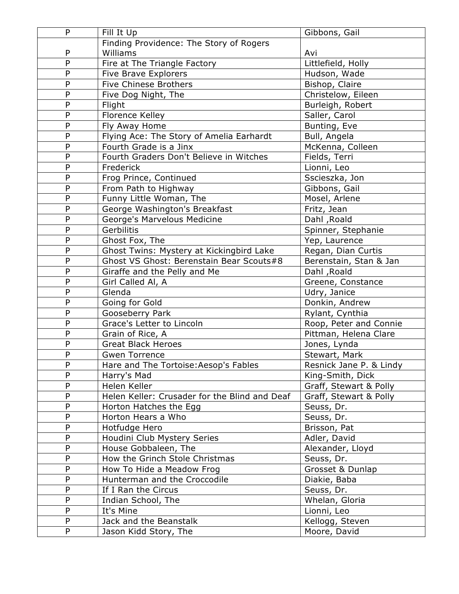| P              | Fill It Up                                    | Gibbons, Gail           |
|----------------|-----------------------------------------------|-------------------------|
|                | Finding Providence: The Story of Rogers       |                         |
| P              | Williams                                      | Avi                     |
| $\overline{P}$ | Fire at The Triangle Factory                  | Littlefield, Holly      |
| P              | <b>Five Brave Explorers</b>                   | Hudson, Wade            |
| P              | Five Chinese Brothers                         | Bishop, Claire          |
| P              | Five Dog Night, The                           | Christelow, Eileen      |
| P              | Flight                                        | Burleigh, Robert        |
| P              | Florence Kelley                               | Saller, Carol           |
| P              | Fly Away Home                                 | Bunting, Eve            |
| $\overline{P}$ | Flying Ace: The Story of Amelia Earhardt      | Bull, Angela            |
| P              | Fourth Grade is a Jinx                        | McKenna, Colleen        |
| P              | Fourth Graders Don't Believe in Witches       | Fields, Terri           |
| P              | Frederick                                     | Lionni, Leo             |
| P              | Frog Prince, Continued                        | Sscieszka, Jon          |
| P              | From Path to Highway                          | Gibbons, Gail           |
| P              | Funny Little Woman, The                       | Mosel, Arlene           |
| P              | George Washington's Breakfast                 | Fritz, Jean             |
| P              | George's Marvelous Medicine                   | Dahl, Roald             |
| P              | Gerbilitis                                    | Spinner, Stephanie      |
| P              | Ghost Fox, The                                | Yep, Laurence           |
| P              | Ghost Twins: Mystery at Kickingbird Lake      | Regan, Dian Curtis      |
| P              | Ghost VS Ghost: Berenstain Bear Scouts#8      | Berenstain, Stan & Jan  |
| P              | Giraffe and the Pelly and Me                  | Dahl, Roald             |
| P              | Girl Called Al, A                             | Greene, Constance       |
| P              | Glenda                                        | Udry, Janice            |
| $\overline{P}$ | Going for Gold                                | Donkin, Andrew          |
| P              | Gooseberry Park                               | Rylant, Cynthia         |
| P              | Grace's Letter to Lincoln                     | Roop, Peter and Connie  |
| P              | Grain of Rice, A                              | Pittman, Helena Clare   |
| $\overline{P}$ | <b>Great Black Heroes</b>                     | Jones, Lynda            |
| P              | <b>Gwen Torrence</b>                          | Stewart, Mark           |
| P              | Hare and The Tortoise: Aesop's Fables         | Resnick Jane P. & Lindy |
| P              | Harry's Mad                                   | King-Smith, Dick        |
| P              | Helen Keller                                  | Graff, Stewart & Polly  |
| P              | Helen Keller: Crusader for the Blind and Deaf | Graff, Stewart & Polly  |
| P              | Horton Hatches the Egg                        | Seuss, Dr.              |
| P              | Horton Hears a Who                            | Seuss, Dr.              |
| P              | Hotfudge Hero                                 | Brisson, Pat            |
| P              | Houdini Club Mystery Series                   | Adler, David            |
| P              | House Gobbaleen, The                          | Alexander, Lloyd        |
| P              | How the Grinch Stole Christmas                | Seuss, Dr.              |
| P              | How To Hide a Meadow Frog                     | Grosset & Dunlap        |
| P              | Hunterman and the Croccodile                  | Diakie, Baba            |
| P              | If I Ran the Circus                           | Seuss, Dr.              |
| P              | Indian School, The                            | Whelan, Gloria          |
| P              | It's Mine                                     | Lionni, Leo             |
| P              | Jack and the Beanstalk                        | Kellogg, Steven         |
| P              | Jason Kidd Story, The                         | Moore, David            |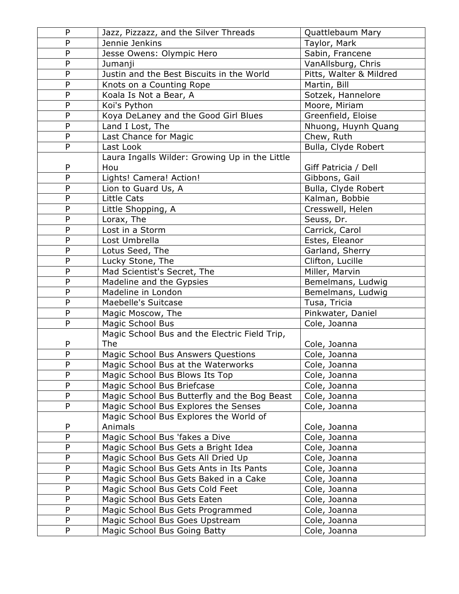| P            | Jazz, Pizzazz, and the Silver Threads          | Quattlebaum Mary        |
|--------------|------------------------------------------------|-------------------------|
| P            | Jennie Jenkins                                 | Taylor, Mark            |
| $\mathsf{P}$ | Jesse Owens: Olympic Hero                      | Sabin, Francene         |
| $\mathsf{P}$ | Jumanji                                        | VanAllsburg, Chris      |
| ${\sf P}$    | Justin and the Best Biscuits in the World      | Pitts, Walter & Mildred |
| P            | Knots on a Counting Rope                       | Martin, Bill            |
| $\mathsf{P}$ | Koala Is Not a Bear, A                         | Sotzek, Hannelore       |
| P            | Koi's Python                                   | Moore, Miriam           |
| ${\sf P}$    | Koya DeLaney and the Good Girl Blues           | Greenfield, Eloise      |
| P            | Land I Lost, The                               | Nhuong, Huynh Quang     |
| ${\sf P}$    | Last Chance for Magic                          | Chew, Ruth              |
| P            | Last Look                                      | Bulla, Clyde Robert     |
|              | Laura Ingalls Wilder: Growing Up in the Little |                         |
| P            | Hou                                            | Giff Patricia / Dell    |
| $\mathsf{P}$ | Lights! Camera! Action!                        | Gibbons, Gail           |
| P            | Lion to Guard Us, A                            | Bulla, Clyde Robert     |
| ${\sf P}$    | <b>Little Cats</b>                             | Kalman, Bobbie          |
| ${\sf P}$    | Little Shopping, A                             | Cresswell, Helen        |
| P            | Lorax, The                                     | Seuss, Dr.              |
| P            | Lost in a Storm                                | Carrick, Carol          |
| ${\sf P}$    | Lost Umbrella                                  | Estes, Eleanor          |
| ${\sf P}$    | Lotus Seed, The                                | Garland, Sherry         |
| P            | Lucky Stone, The                               | Clifton, Lucille        |
| $\mathsf{P}$ | Mad Scientist's Secret, The                    | Miller, Marvin          |
| $\mathsf{P}$ | Madeline and the Gypsies                       | Bemelmans, Ludwig       |
| P            | Madeline in London                             | Bemelmans, Ludwig       |
| ${\sf P}$    | Maebelle's Suitcase                            | Tusa, Tricia            |
| ${\sf P}$    | Magic Moscow, The                              | Pinkwater, Daniel       |
| P            | Magic School Bus                               | Cole, Joanna            |
|              | Magic School Bus and the Electric Field Trip,  |                         |
| P            | <b>The</b>                                     | Cole, Joanna            |
| ${\sf P}$    | Magic School Bus Answers Questions             | Cole, Joanna            |
| P            | Magic School Bus at the Waterworks             | Cole, Joanna            |
| P            | Magic School Bus Blows Its Top                 | Cole, Joanna            |
| ${\sf P}$    | Magic School Bus Briefcase                     | Cole, Joanna            |
| P            | Magic School Bus Butterfly and the Bog Beast   | Cole, Joanna            |
| P            | Magic School Bus Explores the Senses           | Cole, Joanna            |
|              | Magic School Bus Explores the World of         |                         |
| P            | Animals                                        | Cole, Joanna            |
| ${\sf P}$    | Magic School Bus 'fakes a Dive                 | Cole, Joanna            |
| P            | Magic School Bus Gets a Bright Idea            | Cole, Joanna            |
| P            | Magic School Bus Gets All Dried Up             | Cole, Joanna            |
| ${\sf P}$    | Magic School Bus Gets Ants in Its Pants        | Cole, Joanna            |
| P            | Magic School Bus Gets Baked in a Cake          | Cole, Joanna            |
| P            | Magic School Bus Gets Cold Feet                | Cole, Joanna            |
| ${\sf P}$    | Magic School Bus Gets Eaten                    | Cole, Joanna            |
| P            | Magic School Bus Gets Programmed               | Cole, Joanna            |
| P            | Magic School Bus Goes Upstream                 | Cole, Joanna            |
| P            | Magic School Bus Going Batty                   | Cole, Joanna            |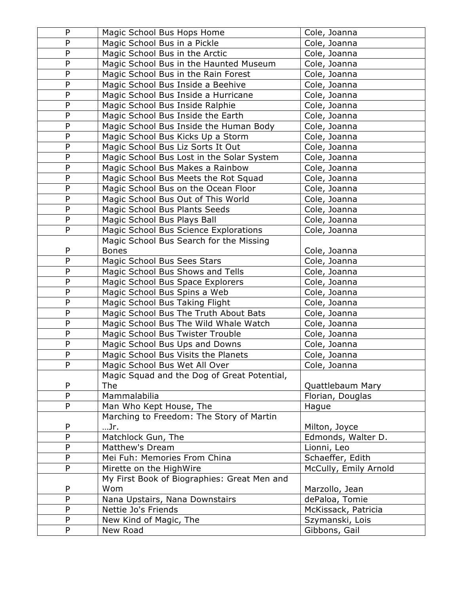| P              | Magic School Bus Hops Home                                                | Cole, Joanna                 |
|----------------|---------------------------------------------------------------------------|------------------------------|
| P              | Magic School Bus in a Pickle                                              | Cole, Joanna                 |
| P              | Magic School Bus in the Arctic                                            | Cole, Joanna                 |
| P              | Magic School Bus in the Haunted Museum                                    | Cole, Joanna                 |
| P              | Magic School Bus in the Rain Forest                                       | Cole, Joanna                 |
| P              | Magic School Bus Inside a Beehive                                         | Cole, Joanna                 |
| P              | Magic School Bus Inside a Hurricane                                       | Cole, Joanna                 |
| P              | Magic School Bus Inside Ralphie                                           | Cole, Joanna                 |
| P              | Magic School Bus Inside the Earth                                         | Cole, Joanna                 |
| P              | Magic School Bus Inside the Human Body                                    | Cole, Joanna                 |
| P              | Magic School Bus Kicks Up a Storm                                         | Cole, Joanna                 |
| P              | Magic School Bus Liz Sorts It Out                                         | Cole, Joanna                 |
| P              | Magic School Bus Lost in the Solar System                                 | Cole, Joanna                 |
| P              | Magic School Bus Makes a Rainbow                                          | Cole, Joanna                 |
| P              | Magic School Bus Meets the Rot Squad                                      | Cole, Joanna                 |
| P              | Magic School Bus on the Ocean Floor                                       | Cole, Joanna                 |
| P              | Magic School Bus Out of This World                                        | Cole, Joanna                 |
| P              | Magic School Bus Plants Seeds                                             | Cole, Joanna                 |
| P              | Magic School Bus Plays Ball                                               | Cole, Joanna                 |
| P              | Magic School Bus Science Explorations                                     | Cole, Joanna                 |
|                | Magic School Bus Search for the Missing                                   |                              |
| P              | <b>Bones</b>                                                              | Cole, Joanna                 |
| P              | Magic School Bus Sees Stars                                               | Cole, Joanna                 |
| P              | Magic School Bus Shows and Tells                                          | Cole, Joanna                 |
| P              | Magic School Bus Space Explorers                                          | Cole, Joanna                 |
| P              | Magic School Bus Spins a Web                                              | Cole, Joanna                 |
| P<br>P         | Magic School Bus Taking Flight                                            | Cole, Joanna                 |
| P              | Magic School Bus The Truth About Bats                                     | Cole, Joanna                 |
| P              | Magic School Bus The Wild Whale Watch<br>Magic School Bus Twister Trouble | Cole, Joanna<br>Cole, Joanna |
| P              | Magic School Bus Ups and Downs                                            | Cole, Joanna                 |
| P              | Magic School Bus Visits the Planets                                       | Cole, Joanna                 |
| P              | Magic School Bus Wet All Over                                             | Cole, Joanna                 |
|                | Magic Squad and the Dog of Great Potential,                               |                              |
| P              | The                                                                       | Quattlebaum Mary             |
| $\overline{P}$ | Mammalabilia                                                              | Florian, Douglas             |
| P              | Man Who Kept House, The                                                   | Haque                        |
|                | Marching to Freedom: The Story of Martin                                  |                              |
| P              | …Jr.                                                                      | Milton, Joyce                |
| P              | Matchlock Gun, The                                                        | Edmonds, Walter D.           |
| P              | Matthew's Dream                                                           | Lionni, Leo                  |
| P              | Mei Fuh: Memories From China                                              | Schaeffer, Edith             |
| P              | Mirette on the HighWire                                                   | McCully, Emily Arnold        |
|                | My First Book of Biographies: Great Men and                               |                              |
| P              | Wom                                                                       | Marzollo, Jean               |
| $\overline{P}$ | Nana Upstairs, Nana Downstairs                                            | dePaloa, Tomie               |
| P              | Nettie Jo's Friends                                                       | McKissack, Patricia          |
| P              | New Kind of Magic, The                                                    | Szymanski, Lois              |
| P              | New Road                                                                  | Gibbons, Gail                |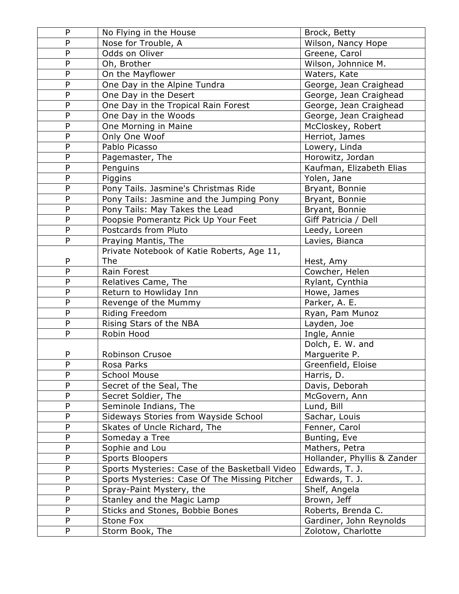| ${\sf P}$                    | No Flying in the House                         | Brock, Betty                     |
|------------------------------|------------------------------------------------|----------------------------------|
| P                            | Nose for Trouble, A                            | Wilson, Nancy Hope               |
| $\mathsf{P}$                 | Odds on Oliver                                 | Greene, Carol                    |
| P                            | Oh, Brother                                    | Wilson, Johnnice M.              |
| $\overline{P}$               | On the Mayflower                               | Waters, Kate                     |
| ${\sf P}$                    | One Day in the Alpine Tundra                   | George, Jean Craighead           |
| P                            | One Day in the Desert                          | George, Jean Craighead           |
| $\mathsf{P}$                 | One Day in the Tropical Rain Forest            | George, Jean Craighead           |
| $\overline{P}$               | One Day in the Woods                           | George, Jean Craighead           |
| P                            | One Morning in Maine                           | McCloskey, Robert                |
| $\mathsf{P}$                 | Only One Woof                                  | Herriot, James                   |
| $\mathsf{P}$                 | Pablo Picasso                                  | Lowery, Linda                    |
| $\overline{P}$               | Pagemaster, The                                | Horowitz, Jordan                 |
| $\mathsf{P}$                 | Penguins                                       | Kaufman, Elizabeth Elias         |
| P                            | Piggins                                        | Yolen, Jane                      |
| ${\sf P}$                    | Pony Tails. Jasmine's Christmas Ride           | Bryant, Bonnie                   |
| $\mathsf{P}$                 | Pony Tails: Jasmine and the Jumping Pony       | Bryant, Bonnie                   |
| $\overline{P}$               | Pony Tails: May Takes the Lead                 | Bryant, Bonnie                   |
| ${\sf P}$                    | Poopsie Pomerantz Pick Up Your Feet            | Giff Patricia / Dell             |
| P                            | Postcards from Pluto                           | Leedy, Loreen                    |
| P                            | Praying Mantis, The                            | Lavies, Bianca                   |
|                              | Private Notebook of Katie Roberts, Age 11,     |                                  |
| P                            | The                                            | Hest, Amy                        |
| P                            | Rain Forest                                    | Cowcher, Helen                   |
| ${\sf P}$                    | Relatives Came, The                            | Rylant, Cynthia                  |
| $\mathsf{P}$<br>$\mathsf{P}$ | Return to Howliday Inn                         | Howe, James                      |
| ${\sf P}$                    | Revenge of the Mummy                           | Parker, A. E.                    |
| ${\sf P}$                    | Riding Freedom                                 | Ryan, Pam Munoz                  |
| P                            | Rising Stars of the NBA<br>Robin Hood          | Layden, Joe                      |
|                              |                                                | Ingle, Annie<br>Dolch, E. W. and |
| P                            | Robinson Crusoe                                | Marguerite P.                    |
| P                            | Rosa Parks                                     | Greenfield, Eloise               |
| P                            | <b>School Mouse</b>                            | Harris, D.                       |
| ${\sf P}$                    | Secret of the Seal, The                        | Davis, Deborah                   |
| ${\sf P}$                    | Secret Soldier, The                            | McGovern, Ann                    |
| $\mathsf{P}$                 | Seminole Indians, The                          | Lund, Bill                       |
| P                            | Sideways Stories from Wayside School           | Sachar, Louis                    |
| P                            | Skates of Uncle Richard, The                   | Fenner, Carol                    |
| ${\sf P}$                    | Someday a Tree                                 | Bunting, Eve                     |
| P                            | Sophie and Lou                                 | Mathers, Petra                   |
| P                            | <b>Sports Bloopers</b>                         | Hollander, Phyllis & Zander      |
| $\mathsf{P}$                 | Sports Mysteries: Case of the Basketball Video | Edwards, T. J.                   |
| ${\sf P}$                    | Sports Mysteries: Case Of The Missing Pitcher  | Edwards, T. J.                   |
| ${\sf P}$                    | Spray-Paint Mystery, the                       | Shelf, Angela                    |
| ${\sf P}$                    | Stanley and the Magic Lamp                     | Brown, Jeff                      |
| ${\sf P}$                    | Sticks and Stones, Bobbie Bones                | Roberts, Brenda C.               |
| P                            | Stone Fox                                      | Gardiner, John Reynolds          |
| P                            | Storm Book, The                                | Zolotow, Charlotte               |
|                              |                                                |                                  |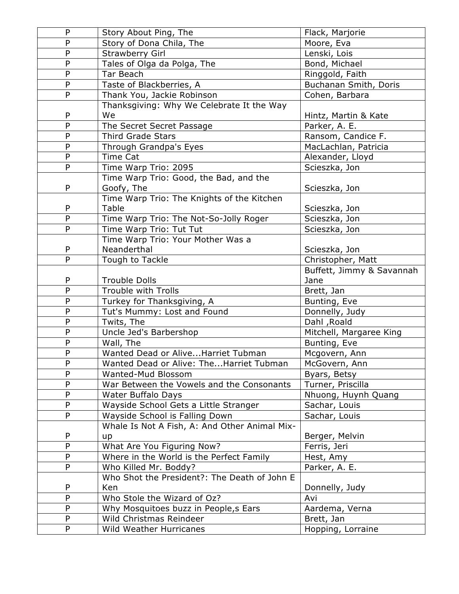| ${\sf P}$      | Story About Ping, The                         | Flack, Marjorie           |
|----------------|-----------------------------------------------|---------------------------|
| P              | Story of Dona Chila, The                      | Moore, Eva                |
| ${\sf P}$      | <b>Strawberry Girl</b>                        | Lenski, Lois              |
| P              | Tales of Olga da Polga, The                   | Bond, Michael             |
| ${\sf P}$      | Tar Beach                                     | Ringgold, Faith           |
| P              | Taste of Blackberries, A                      | Buchanan Smith, Doris     |
| P              | Thank You, Jackie Robinson                    | Cohen, Barbara            |
|                | Thanksgiving: Why We Celebrate It the Way     |                           |
| P              | We                                            | Hintz, Martin & Kate      |
| $\overline{P}$ | The Secret Secret Passage                     | Parker, A. E.             |
| $\mathsf{P}$   | <b>Third Grade Stars</b>                      | Ransom, Candice F.        |
| ${\sf P}$      | Through Grandpa's Eyes                        | MacLachlan, Patricia      |
| P              | <b>Time Cat</b>                               | Alexander, Lloyd          |
| P              | Time Warp Trio: 2095                          | Scieszka, Jon             |
|                | Time Warp Trio: Good, the Bad, and the        |                           |
| P              | Goofy, The                                    | Scieszka, Jon             |
|                | Time Warp Trio: The Knights of the Kitchen    |                           |
| P              | Table                                         | Scieszka, Jon             |
| P              | Time Warp Trio: The Not-So-Jolly Roger        | Scieszka, Jon             |
| P              | Time Warp Trio: Tut Tut                       | Scieszka, Jon             |
|                | Time Warp Trio: Your Mother Was a             |                           |
| P              | Neanderthal                                   | Scieszka, Jon             |
| P              | Tough to Tackle                               | Christopher, Matt         |
|                |                                               | Buffett, Jimmy & Savannah |
| P              | <b>Trouble Dolls</b>                          | Jane                      |
| ${\sf P}$      | Trouble with Trolls                           | Brett, Jan                |
| ${\sf P}$      | Turkey for Thanksgiving, A                    | Bunting, Eve              |
| $\mathsf{P}$   | Tut's Mummy: Lost and Found                   | Donnelly, Judy            |
| P              | Twits, The                                    | Dahl, Roald               |
| ${\sf P}$      | Uncle Jed's Barbershop                        | Mitchell, Margaree King   |
| $\mathsf{P}$   | Wall, The                                     | Bunting, Eve              |
| $\overline{P}$ | Wanted Dead or AliveHarriet Tubman            | Mcgovern, Ann             |
| ${\sf P}$      | Wanted Dead or Alive: TheHarriet Tubman       | McGovern, Ann             |
| P              | Wanted-Mud Blossom                            | Byars, Betsy              |
| ${\sf P}$      | War Between the Vowels and the Consonants     | Turner, Priscilla         |
| P              | Water Buffalo Days                            | Nhuong, Huynh Quang       |
| P              | Wayside School Gets a Little Stranger         | Sachar, Louis             |
| P              | Wayside School is Falling Down                | Sachar, Louis             |
|                | Whale Is Not A Fish, A: And Other Animal Mix- |                           |
| P              | up                                            | Berger, Melvin            |
| $\mathsf{P}$   | What Are You Figuring Now?                    | Ferris, Jeri              |
| P              | Where in the World is the Perfect Family      | Hest, Amy                 |
| P              | Who Killed Mr. Boddy?                         | Parker, A. E.             |
|                | Who Shot the President?: The Death of John E  |                           |
| P              | Ken                                           | Donnelly, Judy            |
| ${\sf P}$      | Who Stole the Wizard of Oz?                   | Avi                       |
| ${\sf P}$      | Why Mosquitoes buzz in People, s Ears         | Aardema, Verna            |
| ${\sf P}$      | Wild Christmas Reindeer                       | Brett, Jan                |
| P              | Wild Weather Hurricanes                       | Hopping, Lorraine         |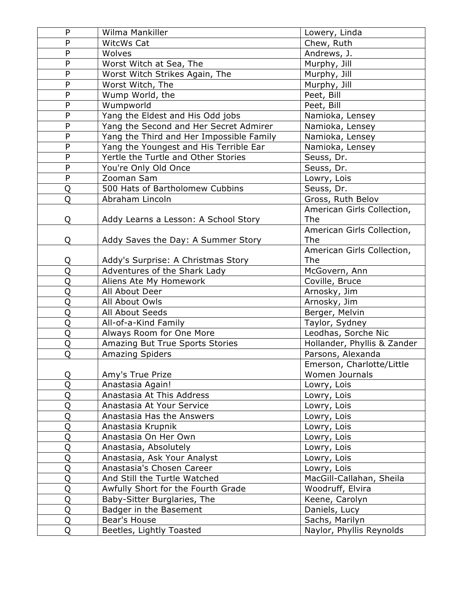| P              | Wilma Mankiller                          | Lowery, Linda               |
|----------------|------------------------------------------|-----------------------------|
| P              | WitcWs Cat                               | Chew, Ruth                  |
| P              | Wolves                                   | Andrews, J.                 |
| P              | Worst Witch at Sea, The                  | Murphy, Jill                |
| P              | Worst Witch Strikes Again, The           | Murphy, Jill                |
| P              | Worst Witch, The                         | Murphy, Jill                |
| P              | Wump World, the                          | Peet, Bill                  |
| P              | Wumpworld                                | Peet, Bill                  |
| $\overline{P}$ | Yang the Eldest and His Odd jobs         | Namioka, Lensey             |
| P              | Yang the Second and Her Secret Admirer   | Namioka, Lensey             |
| $\overline{P}$ | Yang the Third and Her Impossible Family | Namioka, Lensey             |
| P              | Yang the Youngest and His Terrible Ear   | Namioka, Lensey             |
| P              | Yertle the Turtle and Other Stories      | Seuss, Dr.                  |
| P              | You're Only Old Once                     | Seuss, Dr.                  |
| P              | Zooman Sam                               | Lowry, Lois                 |
| Q              | 500 Hats of Bartholomew Cubbins          | Seuss, Dr.                  |
| Q              | Abraham Lincoln                          | Gross, Ruth Belov           |
|                |                                          | American Girls Collection,  |
| Q              | Addy Learns a Lesson: A School Story     | <b>The</b>                  |
|                |                                          | American Girls Collection,  |
| Q              | Addy Saves the Day: A Summer Story       | <b>The</b>                  |
|                |                                          | American Girls Collection,  |
| Q              | Addy's Surprise: A Christmas Story       | <b>The</b>                  |
| Q              | Adventures of the Shark Lady             | McGovern, Ann               |
| Q              | Aliens Ate My Homework                   | Coville, Bruce              |
| Q              | All About Deer                           | Arnosky, Jim                |
| Q              | All About Owls                           | Arnosky, Jim                |
| Q              | All About Seeds                          | Berger, Melvin              |
| Q              | All-of-a-Kind Family                     | Taylor, Sydney              |
| Q              | Always Room for One More                 | Leodhas, Sorche Nic         |
| Q              | Amazing But True Sports Stories          | Hollander, Phyllis & Zander |
| Q              | <b>Amazing Spiders</b>                   | Parsons, Alexanda           |
|                |                                          | Emerson, Charlotte/Little   |
| Q              | Amy's True Prize                         | Women Journals              |
| Q              | Anastasia Again!                         | Lowry, Lois                 |
| Q              | Anastasia At This Address                | Lowry, Lois                 |
| Q              | Anastasia At Your Service                | Lowry, Lois                 |
| $\overline{Q}$ | Anastasia Has the Answers                | Lowry, Lois                 |
| Q              | Anastasia Krupnik                        | Lowry, Lois                 |
| Q              | Anastasia On Her Own                     | Lowry, Lois                 |
| Q              | Anastasia, Absolutely                    | Lowry, Lois                 |
| Q              | Anastasia, Ask Your Analyst              | Lowry, Lois                 |
| Q              | Anastasia's Chosen Career                | Lowry, Lois                 |
| Q              | And Still the Turtle Watched             | MacGill-Callahan, Sheila    |
| Q              | Awfully Short for the Fourth Grade       | Woodruff, Elvira            |
| Q              | Baby-Sitter Burglaries, The              | Keene, Carolyn              |
| Q              | Badger in the Basement                   | Daniels, Lucy               |
| Q              | Bear's House                             | Sachs, Marilyn              |
| Q              | Beetles, Lightly Toasted                 | Naylor, Phyllis Reynolds    |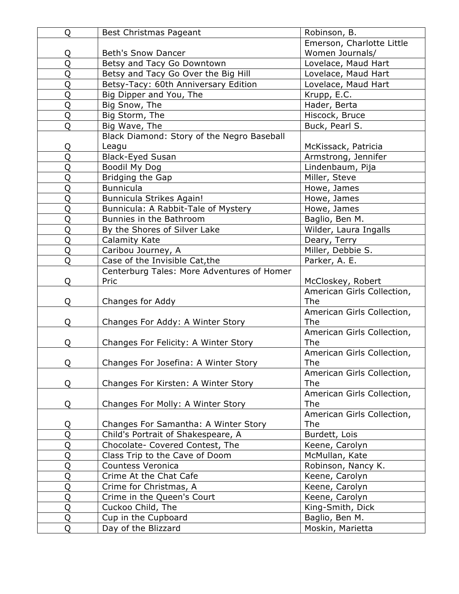| Q              | Best Christmas Pageant                     | Robinson, B.               |
|----------------|--------------------------------------------|----------------------------|
|                |                                            | Emerson, Charlotte Little  |
| Q              | <b>Beth's Snow Dancer</b>                  | Women Journals/            |
| Q              | Betsy and Tacy Go Downtown                 | Lovelace, Maud Hart        |
| Q              | Betsy and Tacy Go Over the Big Hill        | Lovelace, Maud Hart        |
| Q              | Betsy-Tacy: 60th Anniversary Edition       | Lovelace, Maud Hart        |
| Q              | Big Dipper and You, The                    | Krupp, E.C.                |
| Q              | Big Snow, The                              | Hader, Berta               |
| Q              | Big Storm, The                             | Hiscock, Bruce             |
| Q              | Big Wave, The                              | Buck, Pearl S.             |
|                | Black Diamond: Story of the Negro Baseball |                            |
| Q              | Leagu                                      | McKissack, Patricia        |
| Q              | <b>Black-Eyed Susan</b>                    | Armstrong, Jennifer        |
| Q              | Boodil My Dog                              | Lindenbaum, Pija           |
| Q              | Bridging the Gap                           | Miller, Steve              |
| Q              | <b>Bunnicula</b>                           | Howe, James                |
| Q              | Bunnicula Strikes Again!                   | Howe, James                |
| $\overline{Q}$ | Bunnicula: A Rabbit-Tale of Mystery        | Howe, James                |
| Q              | Bunnies in the Bathroom                    | Baglio, Ben M.             |
| Q              | By the Shores of Silver Lake               | Wilder, Laura Ingalls      |
| Q              | Calamity Kate                              | Deary, Terry               |
| Q              | Caribou Journey, A                         | Miller, Debbie S.          |
| Q              | Case of the Invisible Cat, the             | Parker, A. E.              |
|                | Centerburg Tales: More Adventures of Homer |                            |
| Q              | Pric                                       | McCloskey, Robert          |
|                |                                            | American Girls Collection, |
| Q              | Changes for Addy                           | The                        |
|                |                                            | American Girls Collection, |
| Q              | Changes For Addy: A Winter Story           | The                        |
|                |                                            | American Girls Collection, |
| Q              | Changes For Felicity: A Winter Story       | The                        |
|                |                                            | American Girls Collection, |
| Q              | Changes For Josefina: A Winter Story       | The                        |
|                |                                            | American Girls Collection, |
| Q              | Changes For Kirsten: A Winter Story        | The                        |
|                |                                            | American Girls Collection, |
| Q              | Changes For Molly: A Winter Story          | <b>The</b>                 |
|                |                                            | American Girls Collection, |
| Q              | Changes For Samantha: A Winter Story       | <b>The</b>                 |
| Q              | Child's Portrait of Shakespeare, A         | Burdett, Lois              |
| Q              | Chocolate- Covered Contest, The            | Keene, Carolyn             |
| $\overline{Q}$ | Class Trip to the Cave of Doom             | McMullan, Kate             |
| Q              | Countess Veronica                          | Robinson, Nancy K.         |
| Q              | Crime At the Chat Cafe                     | Keene, Carolyn             |
| Q              | Crime for Christmas, A                     | Keene, Carolyn             |
| Q              | Crime in the Queen's Court                 | Keene, Carolyn             |
| Q              | Cuckoo Child, The                          | King-Smith, Dick           |
| Q              | Cup in the Cupboard                        | Baglio, Ben M.             |
| Q              | Day of the Blizzard                        | Moskin, Marietta           |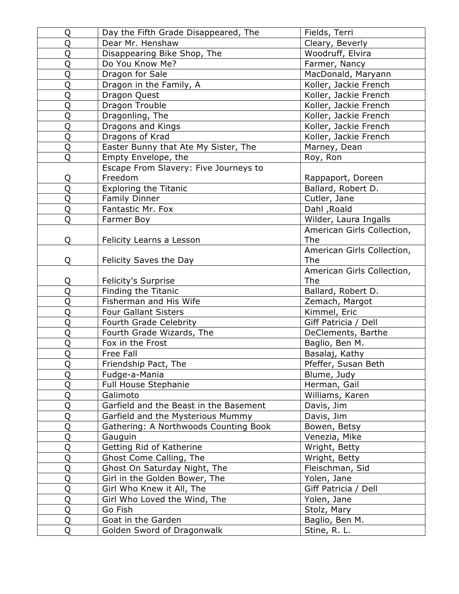| Q              | Day the Fifth Grade Disappeared, The                    | Fields, Terri                    |
|----------------|---------------------------------------------------------|----------------------------------|
| Q              | Dear Mr. Henshaw                                        | Cleary, Beverly                  |
| Q              | Disappearing Bike Shop, The                             | Woodruff, Elvira                 |
| Q              | Do You Know Me?                                         | Farmer, Nancy                    |
| Q              | Dragon for Sale                                         | MacDonald, Maryann               |
| Q              | Dragon in the Family, A                                 | Koller, Jackie French            |
| Q              | Dragon Quest                                            | Koller, Jackie French            |
| Q              | Dragon Trouble                                          | Koller, Jackie French            |
| Q              | Dragonling, The                                         | Koller, Jackie French            |
| Q              | Dragons and Kings                                       | Koller, Jackie French            |
| Q              | Dragons of Krad                                         | Koller, Jackie French            |
| Q              | Easter Bunny that Ate My Sister, The                    | Marney, Dean                     |
| Q              | Empty Envelope, the                                     | Roy, Ron                         |
|                | Escape From Slavery: Five Journeys to                   |                                  |
| Q              | Freedom                                                 | Rappaport, Doreen                |
| Q              | <b>Exploring the Titanic</b>                            | Ballard, Robert D.               |
| Q              | <b>Family Dinner</b>                                    | Cutler, Jane                     |
| Q              | Fantastic Mr. Fox                                       | Dahl, Roald                      |
| Q              | Farmer Boy                                              | Wilder, Laura Ingalls            |
|                |                                                         | American Girls Collection,       |
| Q              | Felicity Learns a Lesson                                | <b>The</b>                       |
|                |                                                         | American Girls Collection,       |
| Q              | Felicity Saves the Day                                  | <b>The</b>                       |
|                |                                                         | American Girls Collection,       |
| Q              | <b>Felicity's Surprise</b>                              | <b>The</b>                       |
| Q              | Finding the Titanic                                     | Ballard, Robert D.               |
| Q              | Fisherman and His Wife                                  | Zemach, Margot                   |
| Q              | <b>Four Gallant Sisters</b>                             | Kimmel, Eric                     |
| Q              | Fourth Grade Celebrity                                  | Giff Patricia / Dell             |
| Q              | Fourth Grade Wizards, The                               | DeClements, Barthe               |
| Q              | Fox in the Frost                                        | Baglio, Ben M.                   |
| Q              | Free Fall                                               | Basalaj, Kathy                   |
| $\overline{Q}$ | Friendship Pact, The                                    | Pfeffer, Susan Beth              |
| $\overline{Q}$ | Fudge-a-Mania                                           | Blume, Judy                      |
| Q              | <b>Full House Stephanie</b>                             | Herman, Gail                     |
| Q              | Galimoto                                                | Williams, Karen                  |
| Q              | Garfield and the Beast in the Basement                  | Davis, Jim                       |
| Q              | Garfield and the Mysterious Mummy                       | Davis, Jim                       |
| Q              | Gathering: A Northwoods Counting Book                   | Bowen, Betsy                     |
| Q              | Gauguin                                                 | Venezia, Mike                    |
| Q              | Getting Rid of Katherine                                | Wright, Betty                    |
| Q<br>Q         | Ghost Come Calling, The<br>Ghost On Saturday Night, The | Wright, Betty<br>Fleischman, Sid |
|                |                                                         |                                  |
| Q              | Girl in the Golden Bower, The                           | Yolen, Jane                      |
| Q              | Girl Who Knew it All, The                               | Giff Patricia<br>Dell            |
| Q              | Girl Who Loved the Wind, The                            | Yolen, Jane                      |
| Q              | Go Fish                                                 | Stolz, Mary                      |
| Q              | Goat in the Garden                                      | Baglio, Ben M.                   |
| Q              | Golden Sword of Dragonwalk                              | Stine, R. L.                     |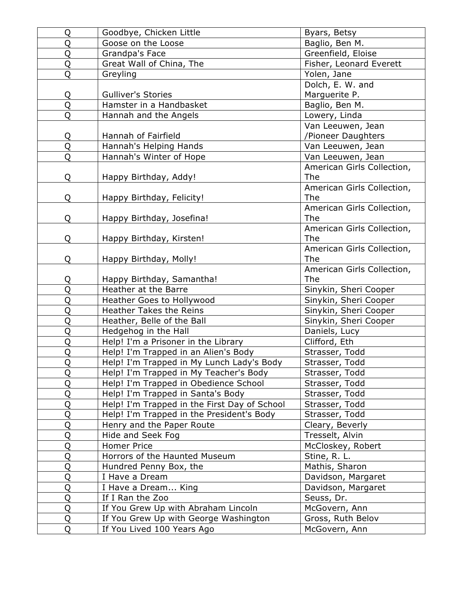| Q              | Goodbye, Chicken Little                      | Byars, Betsy               |
|----------------|----------------------------------------------|----------------------------|
| Q              | Goose on the Loose                           | Baglio, Ben M.             |
| Q              | Grandpa's Face                               | Greenfield, Eloise         |
| Q              | Great Wall of China, The                     | Fisher, Leonard Everett    |
| Q              | Greyling                                     | Yolen, Jane                |
|                |                                              | Dolch, E. W. and           |
| Q              | <b>Gulliver's Stories</b>                    | Marguerite P.              |
| Q              | Hamster in a Handbasket                      | Baglio, Ben M.             |
| Q              | Hannah and the Angels                        | Lowery, Linda              |
|                |                                              | Van Leeuwen, Jean          |
| Q              | Hannah of Fairfield                          | /Pioneer Daughters         |
| $\overline{Q}$ | Hannah's Helping Hands                       | Van Leeuwen, Jean          |
| Q              | Hannah's Winter of Hope                      | Van Leeuwen, Jean          |
|                |                                              | American Girls Collection, |
| Q              | Happy Birthday, Addy!                        | The                        |
|                |                                              | American Girls Collection, |
| Q              | Happy Birthday, Felicity!                    | The                        |
|                |                                              | American Girls Collection, |
| Q              | Happy Birthday, Josefina!                    | <b>The</b>                 |
|                |                                              | American Girls Collection, |
| Q              | Happy Birthday, Kirsten!                     | <b>The</b>                 |
|                |                                              | American Girls Collection, |
| Q              | Happy Birthday, Molly!                       | <b>The</b>                 |
|                |                                              | American Girls Collection, |
| Q              | Happy Birthday, Samantha!                    | The                        |
| Q              | Heather at the Barre                         | Sinykin, Sheri Cooper      |
| Q              | Heather Goes to Hollywood                    | Sinykin, Sheri Cooper      |
| Q              | Heather Takes the Reins                      | Sinykin, Sheri Cooper      |
| Q              | Heather, Belle of the Ball                   | Sinykin, Sheri Cooper      |
| Q              | Hedgehog in the Hall                         | Daniels, Lucy              |
| Q              | Help! I'm a Prisoner in the Library          | Clifford, Eth              |
| Q              | Help! I'm Trapped in an Alien's Body         | Strasser, Todd             |
| $\overline{O}$ | Help! I'm Trapped in My Lunch Lady's Body    | Strasser, Todd             |
| Q              | Help! I'm Trapped in My Teacher's Body       | Strasser, Todd             |
| Q              | Help! I'm Trapped in Obedience School        | Strasser, Todd             |
| Q              | Help! I'm Trapped in Santa's Body            | Strasser, Todd             |
| Q              | Help! I'm Trapped in the First Day of School | Strasser, Todd             |
| Q              | Help! I'm Trapped in the President's Body    | Strasser, Todd             |
| Q              | Henry and the Paper Route                    | Cleary, Beverly            |
| Q              | Hide and Seek Fog                            | Tresselt, Alvin            |
| Q              | <b>Homer Price</b>                           | McCloskey, Robert          |
| Q              | Horrors of the Haunted Museum                | Stine, R. L.               |
| Q              | Hundred Penny Box, the                       | Mathis, Sharon             |
| Q              | I Have a Dream                               | Davidson, Margaret         |
| Q              | I Have a Dream King                          | Davidson, Margaret         |
| Q              | If I Ran the Zoo                             | Seuss, Dr.                 |
| Q              | If You Grew Up with Abraham Lincoln          | McGovern, Ann              |
| Q              | If You Grew Up with George Washington        | Gross, Ruth Belov          |
| Q              | If You Lived 100 Years Ago                   | McGovern, Ann              |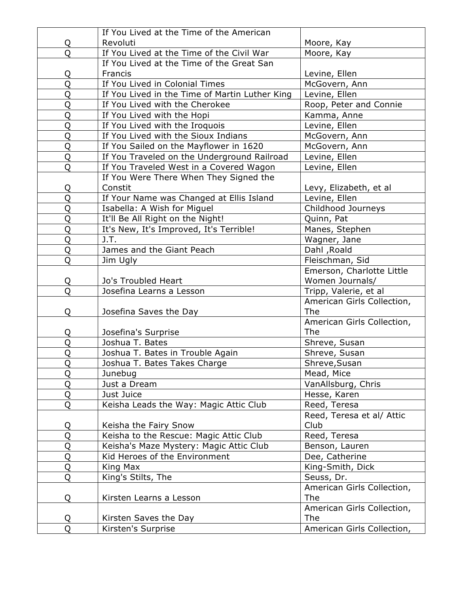|                | If You Lived at the Time of the American       |                            |
|----------------|------------------------------------------------|----------------------------|
| Q              | Revoluti                                       | Moore, Kay                 |
| Q              | If You Lived at the Time of the Civil War      | Moore, Kay                 |
|                | If You Lived at the Time of the Great San      |                            |
| Q              | Francis                                        | Levine, Ellen              |
| Q              | If You Lived in Colonial Times                 | McGovern, Ann              |
| Q              | If You Lived in the Time of Martin Luther King | Levine, Ellen              |
| Q              | If You Lived with the Cherokee                 | Roop, Peter and Connie     |
| Q              | If You Lived with the Hopi                     | Kamma, Anne                |
| Q              | If You Lived with the Iroquois                 | Levine, Ellen              |
| Q              | If You Lived with the Sioux Indians            | McGovern, Ann              |
| Q              | If You Sailed on the Mayflower in 1620         | McGovern, Ann              |
| Q              | If You Traveled on the Underground Railroad    | Levine, Ellen              |
| Q              | If You Traveled West in a Covered Wagon        | Levine, Ellen              |
|                | If You Were There When They Signed the         |                            |
| Q              | Constit                                        | Levy, Elizabeth, et al     |
| Q              | If Your Name was Changed at Ellis Island       | Levine, Ellen              |
| Q              | Isabella: A Wish for Miguel                    | Childhood Journeys         |
| Q              | It'll Be All Right on the Night!               | Quinn, Pat                 |
| Q              | It's New, It's Improved, It's Terrible!        | Manes, Stephen             |
| Q              | J.T.                                           | Wagner, Jane               |
| Q              | James and the Giant Peach                      | Dahl, Roald                |
| Q              | Jim Ugly                                       | Fleischman, Sid            |
|                |                                                | Emerson, Charlotte Little  |
| Q              | Jo's Troubled Heart                            | Women Journals/            |
| Q              | Josefina Learns a Lesson                       | Tripp, Valerie, et al      |
|                |                                                | American Girls Collection, |
| Q              | Josefina Saves the Day                         | <b>The</b>                 |
|                |                                                | American Girls Collection, |
| Q              | Josefina's Surprise                            | <b>The</b>                 |
| Q              | Joshua T. Bates                                | Shreve, Susan              |
| Q              | Joshua T. Bates in Trouble Again               | Shreve, Susan              |
| $\overline{Q}$ | Joshua T. Bates Takes Charge                   | Shreve, Susan              |
| Q              | Junebug                                        | Mead, Mice                 |
| Q              | Just a Dream                                   | VanAllsburg, Chris         |
| Q              | Just Juice                                     | Hesse, Karen               |
| Q              | Keisha Leads the Way: Magic Attic Club         | Reed, Teresa               |
|                |                                                | Reed, Teresa et al/ Attic  |
| Q              | Keisha the Fairy Snow                          | Club                       |
| Q              | Keisha to the Rescue: Magic Attic Club         | Reed, Teresa               |
| Q              | Keisha's Maze Mystery: Magic Attic Club        | Benson, Lauren             |
| Q              | Kid Heroes of the Environment                  | Dee, Catherine             |
| Q              | King Max                                       | King-Smith, Dick           |
| Q              | King's Stilts, The                             | Seuss, Dr.                 |
|                |                                                | American Girls Collection, |
| Q              | Kirsten Learns a Lesson                        | <b>The</b>                 |
|                |                                                | American Girls Collection, |
| Q              | Kirsten Saves the Day                          | <b>The</b>                 |
| Q              | Kirsten's Surprise                             | American Girls Collection, |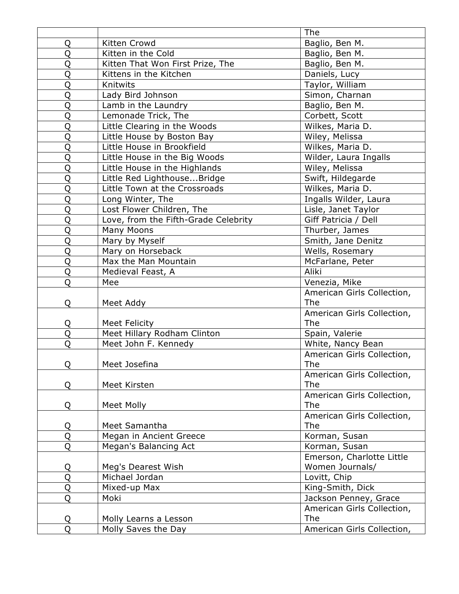|          |                                      | <b>The</b>                 |
|----------|--------------------------------------|----------------------------|
| Q        | Kitten Crowd                         | Baglio, Ben M.             |
| Q        | Kitten in the Cold                   | Baglio, Ben M.             |
| Q        | Kitten That Won First Prize, The     | Baglio, Ben M.             |
| Q        | Kittens in the Kitchen               | Daniels, Lucy              |
| Q        | Knitwits                             | Taylor, William            |
| Q        | Lady Bird Johnson                    | Simon, Charnan             |
| Q        | Lamb in the Laundry                  | Baglio, Ben M.             |
| Q        | Lemonade Trick, The                  | Corbett, Scott             |
| Q        | Little Clearing in the Woods         | Wilkes, Maria D.           |
| Q        | Little House by Boston Bay           | Wiley, Melissa             |
| Q        | Little House in Brookfield           | Wilkes, Maria D.           |
| Q        | Little House in the Big Woods        | Wilder, Laura Ingalls      |
| Q        | Little House in the Highlands        | Wiley, Melissa             |
| Q        | Little Red LighthouseBridge          | Swift, Hildegarde          |
| Q        | Little Town at the Crossroads        | Wilkes, Maria D.           |
| Q        | Long Winter, The                     | Ingalls Wilder, Laura      |
| Q        | Lost Flower Children, The            | Lisle, Janet Taylor        |
| Q        | Love, from the Fifth-Grade Celebrity | Giff Patricia / Dell       |
| Q        | <b>Many Moons</b>                    | Thurber, James             |
| Q        | Mary by Myself                       | Smith, Jane Denitz         |
| Q        | Mary on Horseback                    | Wells, Rosemary            |
| Q        | Max the Man Mountain                 | McFarlane, Peter           |
| Q        | Medieval Feast, A                    | Aliki                      |
| Q        | Mee                                  | Venezia, Mike              |
|          |                                      | American Girls Collection, |
| Q        | Meet Addy                            | <b>The</b>                 |
|          |                                      | American Girls Collection, |
| Q        | <b>Meet Felicity</b>                 | <b>The</b>                 |
| Q        | Meet Hillary Rodham Clinton          | Spain, Valerie             |
| Q        | Meet John F. Kennedy                 | White, Nancy Bean          |
|          |                                      | American Girls Collection, |
| <u>Q</u> | Meet Josefina                        | The                        |
|          |                                      | American Girls Collection, |
| Q        | Meet Kirsten                         | <b>The</b>                 |
|          |                                      | American Girls Collection, |
| Q        | <b>Meet Molly</b>                    | The                        |
|          |                                      | American Girls Collection, |
| Q        | Meet Samantha                        | <b>The</b>                 |
| Q        | Megan in Ancient Greece              | Korman, Susan              |
| Q        | Megan's Balancing Act                | Korman, Susan              |
|          |                                      | Emerson, Charlotte Little  |
| Q        | Meg's Dearest Wish                   | Women Journals/            |
| Q        | Michael Jordan                       | Lovitt, Chip               |
| Q        | Mixed-up Max                         | King-Smith, Dick           |
| Q        | Moki                                 | Jackson Penney, Grace      |
|          |                                      | American Girls Collection, |
| Q        | Molly Learns a Lesson                | <b>The</b>                 |
| Q        | Molly Saves the Day                  | American Girls Collection, |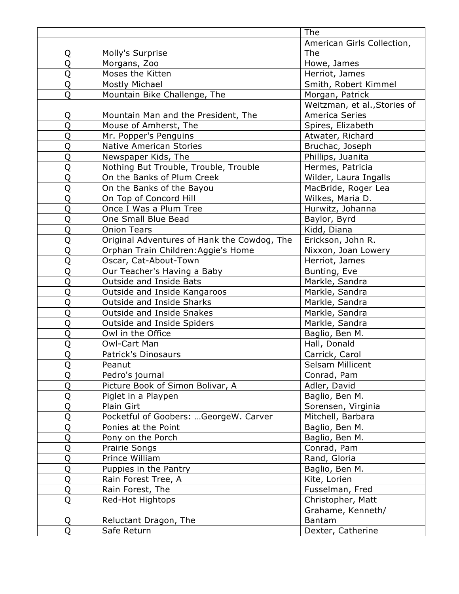|                |                                             | <b>The</b>                   |
|----------------|---------------------------------------------|------------------------------|
|                |                                             | American Girls Collection,   |
| Q              | Molly's Surprise                            | <b>The</b>                   |
| Q              | Morgans, Zoo                                | Howe, James                  |
| Q              | Moses the Kitten                            | Herriot, James               |
| Q              | Mostly Michael                              | Smith, Robert Kimmel         |
| Q              | Mountain Bike Challenge, The                | Morgan, Patrick              |
|                |                                             | Weitzman, et al., Stories of |
| Q              | Mountain Man and the President, The         | America Series               |
| $\overline{Q}$ | Mouse of Amherst, The                       | Spires, Elizabeth            |
| Q              | Mr. Popper's Penguins                       | Atwater, Richard             |
| Q              | <b>Native American Stories</b>              | Bruchac, Joseph              |
| Q              | Newspaper Kids, The                         | Phillips, Juanita            |
| Q              | Nothing But Trouble, Trouble, Trouble       | Hermes, Patricia             |
| Q              | On the Banks of Plum Creek                  | Wilder, Laura Ingalls        |
| Q              | On the Banks of the Bayou                   | MacBride, Roger Lea          |
| Q              | On Top of Concord Hill                      | Wilkes, Maria D.             |
| Q              | Once I Was a Plum Tree                      | Hurwitz, Johanna             |
| Q              | One Small Blue Bead                         | Baylor, Byrd                 |
| Q              | <b>Onion Tears</b>                          | Kidd, Diana                  |
| Q              | Original Adventures of Hank the Cowdog, The | Erickson, John R.            |
| Q              | Orphan Train Children: Aggie's Home         | Nixxon, Joan Lowery          |
| Q              | Oscar, Cat-About-Town                       | Herriot, James               |
| Q              | Our Teacher's Having a Baby                 | Bunting, Eve                 |
| Q              | Outside and Inside Bats                     | Markle, Sandra               |
| Q              | Outside and Inside Kangaroos                | Markle, Sandra               |
| Q              | <b>Outside and Inside Sharks</b>            | Markle, Sandra               |
| Q              | Outside and Inside Snakes                   | Markle, Sandra               |
| Q              | Outside and Inside Spiders                  | Markle, Sandra               |
| Q              | Owl in the Office                           | Baglio, Ben M.               |
| Q              | Owl-Cart Man                                | Hall, Donald                 |
| Q              | Patrick's Dinosaurs                         | Carrick, Carol               |
| $\overline{Q}$ | Peanut                                      | Selsam Millicent             |
| Q              | Pedro's journal                             | Conrad, Pam                  |
| Q              | Picture Book of Simon Bolivar, A            | Adler, David                 |
| Q              | Piglet in a Playpen                         | Baglio, Ben M.               |
| Q              | Plain Girt                                  | Sorensen, Virginia           |
| Q              | Pocketful of Goobers: GeorgeW. Carver       | Mitchell, Barbara            |
| Q              | Ponies at the Point                         | Baglio, Ben M.               |
| Q              | Pony on the Porch                           | Baglio, Ben M.               |
| Q              | <b>Prairie Songs</b>                        | Conrad, Pam                  |
| Q              | Prince William                              | Rand, Gloria                 |
| Q              | Puppies in the Pantry                       | Baglio, Ben M.               |
| Q              | Rain Forest Tree, A                         | Kite, Lorien                 |
| Q              | Rain Forest, The                            | Fusselman, Fred              |
| Q              | Red-Hot Hightops                            | Christopher, Matt            |
|                |                                             | Grahame, Kenneth/            |
| Q              | Reluctant Dragon, The                       | Bantam                       |
| Q              | Safe Return                                 | Dexter, Catherine            |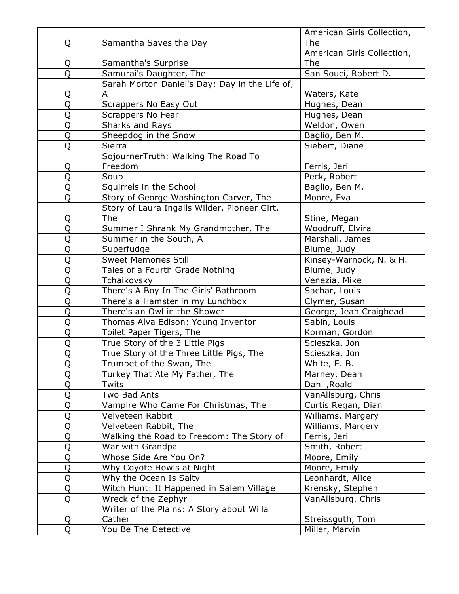|   |                                                | American Girls Collection, |
|---|------------------------------------------------|----------------------------|
| Q | Samantha Saves the Day                         | <b>The</b>                 |
|   |                                                | American Girls Collection, |
| Q | Samantha's Surprise                            | <b>The</b>                 |
| Q | Samurai's Daughter, The                        | San Souci, Robert D.       |
|   | Sarah Morton Daniel's Day: Day in the Life of, |                            |
| Q | A                                              | Waters, Kate               |
| Q | Scrappers No Easy Out                          | Hughes, Dean               |
| Q | Scrappers No Fear                              | Hughes, Dean               |
| Q | Sharks and Rays                                | Weldon, Owen               |
| Q | Sheepdog in the Snow                           | Baglio, Ben M.             |
| Q | Sierra                                         | Siebert, Diane             |
|   | SojournerTruth: Walking The Road To            |                            |
| Q | Freedom                                        | Ferris, Jeri               |
| Q | Soup                                           | Peck, Robert               |
| Q | Squirrels in the School                        | Baglio, Ben M.             |
| Q | Story of George Washington Carver, The         | Moore, Eva                 |
|   | Story of Laura Ingalls Wilder, Pioneer Girt,   |                            |
| Q | <b>The</b>                                     | Stine, Megan               |
| Q | Summer I Shrank My Grandmother, The            | Woodruff, Elvira           |
| Q | Summer in the South, A                         | Marshall, James            |
| Q | Superfudge                                     | Blume, Judy                |
| Q | <b>Sweet Memories Still</b>                    | Kinsey-Warnock, N. & H.    |
| Q | Tales of a Fourth Grade Nothing                | Blume, Judy                |
| Q | Tchaikovsky                                    | Venezia, Mike              |
| Q | There's A Boy In The Girls' Bathroom           | Sachar, Louis              |
| Q | There's a Hamster in my Lunchbox               | Clymer, Susan              |
| Q | There's an Owl in the Shower                   | George, Jean Craighead     |
| Q | Thomas Alva Edison: Young Inventor             | Sabin, Louis               |
| Q | Toilet Paper Tigers, The                       | Korman, Gordon             |
| Q | True Story of the 3 Little Pigs                | Scieszka, Jon              |
| Q | True Story of the Three Little Pigs, The       | Scieszka, Jon              |
| Q | Trumpet of the Swan, The                       | White, E. B.               |
| Q | Turkey That Ate My Father, The                 | Marney, Dean               |
| Q | Twits                                          | Dahl, Roald                |
| Q | Two Bad Ants                                   | VanAllsburg, Chris         |
| Q | Vampire Who Came For Christmas, The            | Curtis Regan, Dian         |
| Q | Velveteen Rabbit                               | Williams, Margery          |
| Q | Velveteen Rabbit, The                          | Williams, Margery          |
| Q | Walking the Road to Freedom: The Story of      | Ferris, Jeri               |
| Q | War with Grandpa                               | Smith, Robert              |
| Q | Whose Side Are You On?                         | Moore, Emily               |
| Q | Why Coyote Howls at Night                      | Moore, Emily               |
| Q | Why the Ocean Is Salty                         | Leonhardt, Alice           |
| Q | Witch Hunt: It Happened in Salem Village       | Krensky, Stephen           |
| Q | Wreck of the Zephyr                            | VanAllsburg, Chris         |
|   | Writer of the Plains: A Story about Willa      |                            |
| Q | Cather                                         | Streissguth, Tom           |
| Q | You Be The Detective                           | Miller, Marvin             |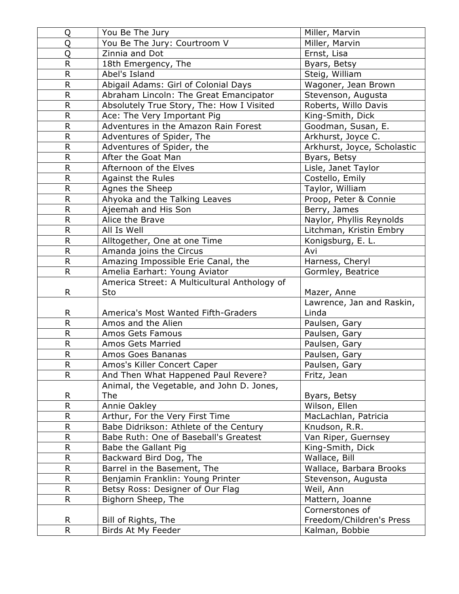| Q            | You Be The Jury                              | Miller, Marvin                             |
|--------------|----------------------------------------------|--------------------------------------------|
| Q            | You Be The Jury: Courtroom V                 | Miller, Marvin                             |
| Q            | Zinnia and Dot                               | Ernst, Lisa                                |
| R            | 18th Emergency, The                          | Byars, Betsy                               |
| R            | Abel's Island                                | Steig, William                             |
| R            | Abigail Adams: Girl of Colonial Days         | Wagoner, Jean Brown                        |
| R            | Abraham Lincoln: The Great Emancipator       | Stevenson, Augusta                         |
| $\mathsf R$  | Absolutely True Story, The: How I Visited    | Roberts, Willo Davis                       |
| R            | Ace: The Very Important Pig                  | King-Smith, Dick                           |
| R            | Adventures in the Amazon Rain Forest         | Goodman, Susan, E.                         |
| R            | Adventures of Spider, The                    | Arkhurst, Joyce C.                         |
| $\mathsf R$  | Adventures of Spider, the                    | Arkhurst, Joyce, Scholastic                |
| R            | After the Goat Man                           | Byars, Betsy                               |
| R            | Afternoon of the Elves                       | Lisle, Janet Taylor                        |
| R            | <b>Against the Rules</b>                     | Costello, Emily                            |
| R            | Agnes the Sheep                              | Taylor, William                            |
| R            | Ahyoka and the Talking Leaves                | Proop, Peter & Connie                      |
| R            | Ajeemah and His Son                          | Berry, James                               |
| R            | Alice the Brave                              | Naylor, Phyllis Reynolds                   |
| R            | All Is Well                                  | Litchman, Kristin Embry                    |
| R            | Alltogether, One at one Time                 | Konigsburg, E. L.                          |
| R            | Amanda joins the Circus                      | Avi                                        |
| R            | Amazing Impossible Erie Canal, the           | Harness, Cheryl                            |
| R.           | Amelia Earhart: Young Aviator                | Gormley, Beatrice                          |
|              | America Street: A Multicultural Anthology of |                                            |
|              |                                              |                                            |
| R.           | Sto                                          | Mazer, Anne                                |
|              |                                              | Lawrence, Jan and Raskin,                  |
| R            | America's Most Wanted Fifth-Graders          | Linda                                      |
| R            | Amos and the Alien                           | Paulsen, Gary                              |
| R            | Amos Gets Famous                             | Paulsen, Gary                              |
| R            | <b>Amos Gets Married</b>                     | Paulsen, Gary                              |
| ${\sf R}$    | Amos Goes Bananas                            | Paulsen, Gary                              |
| R            | Amos's Killer Concert Caper                  | Paulsen, Gary                              |
| R            | And Then What Happened Paul Revere?          | Fritz, Jean                                |
|              | Animal, the Vegetable, and John D. Jones,    |                                            |
| R            | <b>The</b>                                   | Byars, Betsy                               |
| R            | Annie Oakley                                 | Wilson, Ellen                              |
| $\mathsf{R}$ | Arthur, For the Very First Time              | MacLachlan, Patricia                       |
| R            | Babe Didrikson: Athlete of the Century       | Knudson, R.R.                              |
| R            | Babe Ruth: One of Baseball's Greatest        | Van Riper, Guernsey                        |
| $\mathsf{R}$ | Babe the Gallant Pig                         | King-Smith, Dick                           |
| R            | Backward Bird Dog, The                       | Wallace, Bill                              |
| R            | Barrel in the Basement, The                  | Wallace, Barbara Brooks                    |
| R            | Benjamin Franklin: Young Printer             | Stevenson, Augusta                         |
| R            | Betsy Ross: Designer of Our Flag             | Weil, Ann                                  |
| R.           | Bighorn Sheep, The                           | Mattern, Joanne                            |
|              |                                              | Cornerstones of                            |
| R<br>R       | Bill of Rights, The<br>Birds At My Feeder    | Freedom/Children's Press<br>Kalman, Bobbie |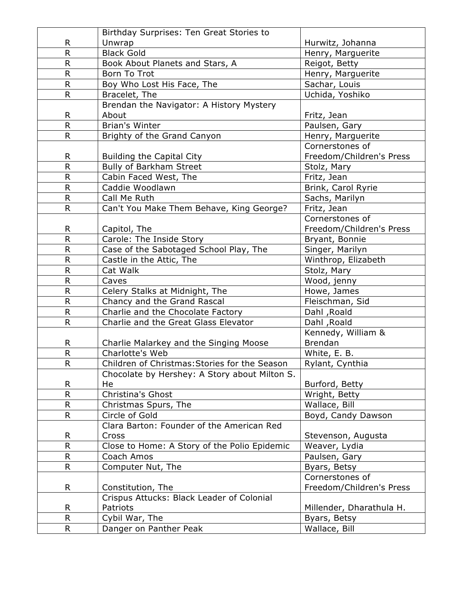|                | Birthday Surprises: Ten Great Stories to      |                          |
|----------------|-----------------------------------------------|--------------------------|
| R.             | Unwrap                                        | Hurwitz, Johanna         |
| R              | <b>Black Gold</b>                             | Henry, Marguerite        |
| R              | Book About Planets and Stars, A               | Reigot, Betty            |
| R              | Born To Trot                                  | Henry, Marguerite        |
| $\overline{R}$ | Boy Who Lost His Face, The                    | Sachar, Louis            |
| R.             | Bracelet, The                                 | Uchida, Yoshiko          |
|                | Brendan the Navigator: A History Mystery      |                          |
| R              | About                                         | Fritz, Jean              |
| R.             | <b>Brian's Winter</b>                         | Paulsen, Gary            |
| R.             | Brighty of the Grand Canyon                   | Henry, Marguerite        |
|                |                                               | Cornerstones of          |
| R.             | <b>Building the Capital City</b>              | Freedom/Children's Press |
| R.             | Bully of Barkham Street                       | Stolz, Mary              |
| R.             | Cabin Faced West, The                         | Fritz, Jean              |
| R              | Caddie Woodlawn                               | Brink, Carol Ryrie       |
| R.             | Call Me Ruth                                  | Sachs, Marilyn           |
| R              | Can't You Make Them Behave, King George?      | Fritz, Jean              |
|                |                                               | Cornerstones of          |
| R.             | Capitol, The                                  | Freedom/Children's Press |
| R              | Carole: The Inside Story                      | Bryant, Bonnie           |
| R.             | Case of the Sabotaged School Play, The        | Singer, Marilyn          |
| R              | Castle in the Attic, The                      | Winthrop, Elizabeth      |
| R              | Cat Walk                                      | Stolz, Mary              |
| R              | Caves                                         | Wood, jenny              |
| R              | Celery Stalks at Midnight, The                | Howe, James              |
| R              | Chancy and the Grand Rascal                   | Fleischman, Sid          |
| $\mathsf{R}$   | Charlie and the Chocolate Factory             | Dahl, Roald              |
| R              | Charlie and the Great Glass Elevator          | Dahl, Roald              |
|                |                                               | Kennedy, William &       |
| R              | Charlie Malarkey and the Singing Moose        | <b>Brendan</b>           |
| $\mathsf R$    | Charlotte's Web                               | White, E. B.             |
| $\mathsf R$    | Children of Christmas: Stories for the Season | Rylant, Cynthia          |
|                | Chocolate by Hershey: A Story about Milton S. |                          |
| R              | He                                            | Burford, Betty           |
| R              | Christina's Ghost                             | Wright, Betty            |
| R.             | Christmas Spurs, The                          | Wallace, Bill            |
| R              | Circle of Gold                                | Boyd, Candy Dawson       |
|                | Clara Barton: Founder of the American Red     |                          |
| R              | Cross                                         | Stevenson, Augusta       |
| R              | Close to Home: A Story of the Polio Epidemic  | Weaver, Lydia            |
| R              | Coach Amos                                    | Paulsen, Gary            |
| R              | Computer Nut, The                             | Byars, Betsy             |
|                |                                               | Cornerstones of          |
| R.             | Constitution, The                             | Freedom/Children's Press |
|                | Crispus Attucks: Black Leader of Colonial     |                          |
| R.             | Patriots                                      | Millender, Dharathula H. |
| R              | Cybil War, The                                | Byars, Betsy             |
| R.             | Danger on Panther Peak                        | Wallace, Bill            |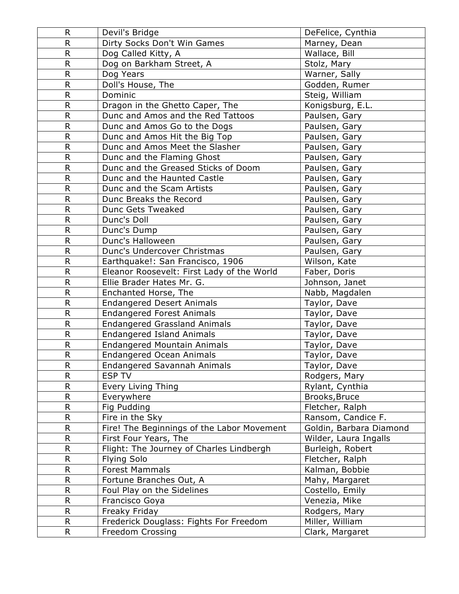| R           | Devil's Bridge                             | DeFelice, Cynthia       |
|-------------|--------------------------------------------|-------------------------|
| R           | Dirty Socks Don't Win Games                | Marney, Dean            |
| $\mathsf R$ | Dog Called Kitty, A                        | Wallace, Bill           |
| R           | Dog on Barkham Street, A                   | Stolz, Mary             |
| R           | Dog Years                                  | Warner, Sally           |
| $\mathsf R$ | Doll's House, The                          | Godden, Rumer           |
| R           | Dominic                                    | Steig, William          |
| R           | Dragon in the Ghetto Caper, The            | Konigsburg, E.L.        |
| R           | Dunc and Amos and the Red Tattoos          | Paulsen, Gary           |
| R           | Dunc and Amos Go to the Dogs               | Paulsen, Gary           |
| R           | Dunc and Amos Hit the Big Top              | Paulsen, Gary           |
| R           | Dunc and Amos Meet the Slasher             | Paulsen, Gary           |
| R           | Dunc and the Flaming Ghost                 | Paulsen, Gary           |
| R           | Dunc and the Greased Sticks of Doom        | Paulsen, Gary           |
| R           | Dunc and the Haunted Castle                | Paulsen, Gary           |
| R           | Dunc and the Scam Artists                  | Paulsen, Gary           |
| R           | Dunc Breaks the Record                     | Paulsen, Gary           |
| R           | Dunc Gets Tweaked                          | Paulsen, Gary           |
| R           | Dunc's Doll                                | Paulsen, Gary           |
| R           | Dunc's Dump                                | Paulsen, Gary           |
| R           | Dunc's Halloween                           | Paulsen, Gary           |
| $\mathsf R$ | Dunc's Undercover Christmas                | Paulsen, Gary           |
| R           | Earthquake!: San Francisco, 1906           | Wilson, Kate            |
| R           | Eleanor Roosevelt: First Lady of the World | Faber, Doris            |
| $\mathsf R$ | Ellie Brader Hates Mr. G.                  | Johnson, Janet          |
| R           | Enchanted Horse, The                       | Nabb, Magdalen          |
| R           | <b>Endangered Desert Animals</b>           | Taylor, Dave            |
| R           | <b>Endangered Forest Animals</b>           | Taylor, Dave            |
| R           | <b>Endangered Grassland Animals</b>        | Taylor, Dave            |
| R           | <b>Endangered Island Animals</b>           | Taylor, Dave            |
| R           | <b>Endangered Mountain Animals</b>         | Taylor, Dave            |
| ${\sf R}$   | <b>Endangered Ocean Animals</b>            | Taylor, Dave            |
| R           | Endangered Savannah Animals                | Taylor, Dave            |
| R           | <b>ESP TV</b>                              | Rodgers, Mary           |
| R           | Every Living Thing                         | Rylant, Cynthia         |
| R           | Everywhere                                 | Brooks, Bruce           |
| R           | Fig Pudding                                | Fletcher, Ralph         |
| R           | Fire in the Sky                            | Ransom, Candice F.      |
| R           | Fire! The Beginnings of the Labor Movement | Goldin, Barbara Diamond |
| R           | First Four Years, The                      | Wilder, Laura Ingalls   |
| R           | Flight: The Journey of Charles Lindbergh   | Burleigh, Robert        |
| R           | <b>Flying Solo</b>                         | Fletcher, Ralph         |
| R           | <b>Forest Mammals</b>                      | Kalman, Bobbie          |
| R           | Fortune Branches Out, A                    | Mahy, Margaret          |
| R           | Foul Play on the Sidelines                 | Costello, Emily         |
| R           | Francisco Goya                             | Venezia, Mike           |
| R           | Freaky Friday                              | Rodgers, Mary           |
| $\mathsf R$ | Frederick Douglass: Fights For Freedom     | Miller, William         |
| R.          | Freedom Crossing                           | Clark, Margaret         |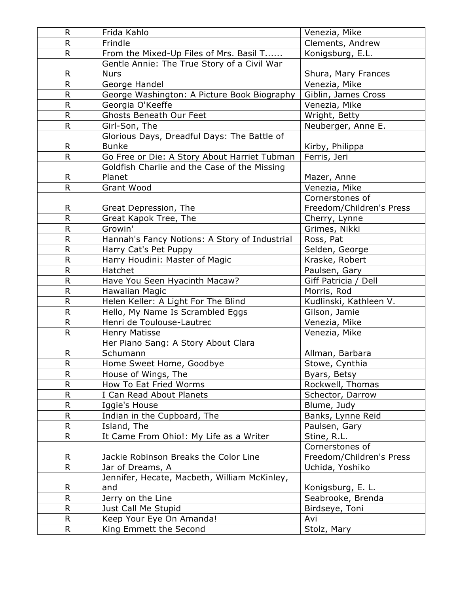| R            | Frida Kahlo                                   | Venezia, Mike            |
|--------------|-----------------------------------------------|--------------------------|
| $\mathsf R$  | Frindle                                       | Clements, Andrew         |
| R.           | From the Mixed-Up Files of Mrs. Basil T       | Konigsburg, E.L.         |
|              | Gentle Annie: The True Story of a Civil War   |                          |
| R            | <b>Nurs</b>                                   | Shura, Mary Frances      |
| $\mathsf{R}$ | George Handel                                 | Venezia, Mike            |
| $\mathsf R$  | George Washington: A Picture Book Biography   | Giblin, James Cross      |
| $\mathsf{R}$ | Georgia O'Keeffe                              | Venezia, Mike            |
| R            | <b>Ghosts Beneath Our Feet</b>                | Wright, Betty            |
| $\mathsf{R}$ | Girl-Son, The                                 | Neuberger, Anne E.       |
|              | Glorious Days, Dreadful Days: The Battle of   |                          |
| R            | <b>Bunke</b>                                  | Kirby, Philippa          |
| $\mathsf{R}$ | Go Free or Die: A Story About Harriet Tubman  | Ferris, Jeri             |
|              | Goldfish Charlie and the Case of the Missing  |                          |
| R            | Planet                                        | Mazer, Anne              |
| R            | Grant Wood                                    | Venezia, Mike            |
|              |                                               | Cornerstones of          |
| R            | Great Depression, The                         | Freedom/Children's Press |
| $\mathsf{R}$ | Great Kapok Tree, The                         | Cherry, Lynne            |
| $\mathsf{R}$ | Growin'                                       | Grimes, Nikki            |
| R.           | Hannah's Fancy Notions: A Story of Industrial | Ross, Pat                |
| $\mathsf{R}$ | Harry Cat's Pet Puppy                         | Selden, George           |
| $\mathsf R$  | Harry Houdini: Master of Magic                | Kraske, Robert           |
| $\mathsf R$  | Hatchet                                       | Paulsen, Gary            |
| $\mathsf{R}$ | Have You Seen Hyacinth Macaw?                 | Giff Patricia / Dell     |
| $\mathsf{R}$ | Hawaiian Magic                                | Morris, Rod              |
| $\mathsf R$  | Helen Keller: A Light For The Blind           | Kudlinski, Kathleen V.   |
| $\mathsf{R}$ | Hello, My Name Is Scrambled Eggs              | Gilson, Jamie            |
| R            | Henri de Toulouse-Lautrec                     | Venezia, Mike            |
| $\mathsf{R}$ | <b>Henry Matisse</b>                          | Venezia, Mike            |
|              | Her Piano Sang: A Story About Clara           |                          |
| R            | Schumann                                      | Allman, Barbara          |
| $\mathsf R$  | Home Sweet Home, Goodbye                      | Stowe, Cynthia           |
| $\mathsf R$  | House of Wings, The                           | Byars, Betsy             |
| $\mathsf R$  | How To Eat Fried Worms                        | Rockwell, Thomas         |
| $\mathsf R$  | I Can Read About Planets                      | Schector, Darrow         |
| $\mathsf R$  | Iggie's House                                 | Blume, Judy              |
| $\mathsf{R}$ | Indian in the Cupboard, The                   | Banks, Lynne Reid        |
| $\mathsf R$  | Island, The                                   | Paulsen, Gary            |
| R.           | It Came From Ohio!: My Life as a Writer       | Stine, R.L.              |
|              |                                               | Cornerstones of          |
| R            | Jackie Robinson Breaks the Color Line         | Freedom/Children's Press |
| $\mathsf{R}$ | Jar of Dreams, A                              | Uchida, Yoshiko          |
|              | Jennifer, Hecate, Macbeth, William McKinley,  |                          |
| R            | and                                           | Konigsburg, E. L.        |
| $\mathsf R$  | Jerry on the Line                             | Seabrooke, Brenda        |
| R            | Just Call Me Stupid                           | Birdseye, Toni           |
| R            | Keep Your Eye On Amanda!                      | Avi                      |
| R            | King Emmett the Second                        | Stolz, Mary              |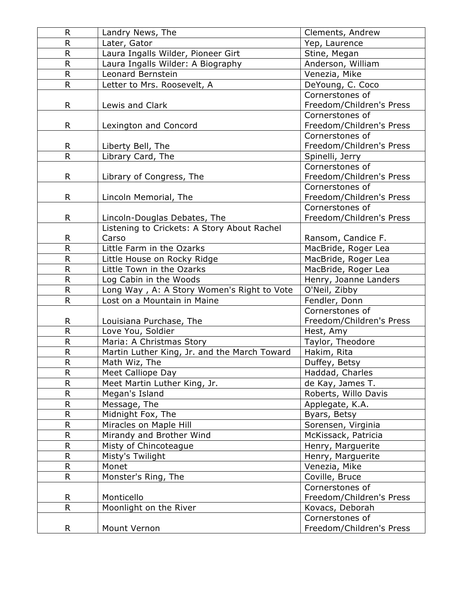| R                       | Landry News, The                             | Clements, Andrew         |
|-------------------------|----------------------------------------------|--------------------------|
| R.                      | Later, Gator                                 | Yep, Laurence            |
| $\overline{R}$          | Laura Ingalls Wilder, Pioneer Girt           | Stine, Megan             |
| R                       | Laura Ingalls Wilder: A Biography            | Anderson, William        |
| R                       | Leonard Bernstein                            | Venezia, Mike            |
| R                       | Letter to Mrs. Roosevelt, A                  | DeYoung, C. Coco         |
|                         |                                              | Cornerstones of          |
| R                       | Lewis and Clark                              | Freedom/Children's Press |
|                         |                                              | Cornerstones of          |
| R.                      | Lexington and Concord                        | Freedom/Children's Press |
|                         |                                              | Cornerstones of          |
| R                       | Liberty Bell, The                            | Freedom/Children's Press |
| $\overline{\mathsf{R}}$ | Library Card, The                            | Spinelli, Jerry          |
|                         |                                              | Cornerstones of          |
| R                       | Library of Congress, The                     | Freedom/Children's Press |
|                         |                                              | Cornerstones of          |
| R.                      | Lincoln Memorial, The                        | Freedom/Children's Press |
|                         |                                              | Cornerstones of          |
| R                       | Lincoln-Douglas Debates, The                 | Freedom/Children's Press |
|                         | Listening to Crickets: A Story About Rachel  |                          |
| R.                      | Carso                                        | Ransom, Candice F.       |
| R                       | Little Farm in the Ozarks                    | MacBride, Roger Lea      |
| R                       | Little House on Rocky Ridge                  | MacBride, Roger Lea      |
| $\mathsf R$             | Little Town in the Ozarks                    | MacBride, Roger Lea      |
| R                       | Log Cabin in the Woods                       | Henry, Joanne Landers    |
| $\mathsf R$             | Long Way, A: A Story Women's Right to Vote   | O'Neil, Zibby            |
| R                       | Lost on a Mountain in Maine                  | Fendler, Donn            |
|                         |                                              | Cornerstones of          |
| R                       | Louisiana Purchase, The                      | Freedom/Children's Press |
| $\overline{R}$          | Love You, Soldier                            | Hest, Amy                |
| R                       | Maria: A Christmas Story                     | Taylor, Theodore         |
| R                       | Martin Luther King, Jr. and the March Toward | Hakim, Rita              |
| R                       | Math Wiz, The                                | Duffey, Betsy            |
| R                       | Meet Calliope Day                            | Haddad, Charles          |
| R                       | Meet Martin Luther King, Jr.                 | de Kay, James T.         |
| R                       | Megan's Island                               | Roberts, Willo Davis     |
| R                       | Message, The                                 | Applegate, K.A.          |
| R.                      | Midnight Fox, The                            | Byars, Betsy             |
| R                       | Miracles on Maple Hill                       | Sorensen, Virginia       |
| R                       | Mirandy and Brother Wind                     | McKissack, Patricia      |
| R                       | Misty of Chincoteague                        | Henry, Marguerite        |
| R                       | Misty's Twilight                             | Henry, Marguerite        |
| R                       | Monet                                        | Venezia, Mike            |
| R                       | Monster's Ring, The                          | Coville, Bruce           |
|                         |                                              | Cornerstones of          |
| R.                      | Monticello                                   | Freedom/Children's Press |
| R.                      | Moonlight on the River                       | Kovacs, Deborah          |
|                         |                                              | Cornerstones of          |
| R.                      | Mount Vernon                                 | Freedom/Children's Press |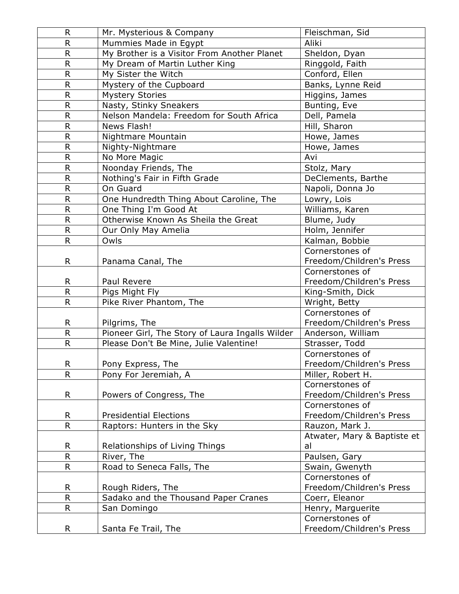| R              | Mr. Mysterious & Company                        | Fleischman, Sid             |
|----------------|-------------------------------------------------|-----------------------------|
| R              | Mummies Made in Egypt                           | Aliki                       |
| R              | My Brother is a Visitor From Another Planet     | Sheldon, Dyan               |
| R              | My Dream of Martin Luther King                  | Ringgold, Faith             |
| R              | My Sister the Witch                             | Conford, Ellen              |
| R              | Mystery of the Cupboard                         | Banks, Lynne Reid           |
| R              | <b>Mystery Stories</b>                          | Higgins, James              |
| $\mathsf R$    | Nasty, Stinky Sneakers                          | Bunting, Eve                |
| R              | Nelson Mandela: Freedom for South Africa        | Dell, Pamela                |
| R              | News Flash!                                     | Hill, Sharon                |
| R              | Nightmare Mountain                              | Howe, James                 |
| R              | Nighty-Nightmare                                | Howe, James                 |
| R              | No More Magic                                   | Avi                         |
| $\overline{R}$ | Noonday Friends, The                            | Stolz, Mary                 |
| R              | Nothing's Fair in Fifth Grade                   | DeClements, Barthe          |
| R              | On Guard                                        | Napoli, Donna Jo            |
| R.             | One Hundredth Thing About Caroline, The         | Lowry, Lois                 |
| R              | One Thing I'm Good At                           | Williams, Karen             |
| R              | Otherwise Known As Sheila the Great             | Blume, Judy                 |
| R              | Our Only May Amelia                             | Holm, Jennifer              |
| R              | Owls                                            | Kalman, Bobbie              |
|                |                                                 | Cornerstones of             |
| R.             | Panama Canal, The                               | Freedom/Children's Press    |
|                |                                                 | Cornerstones of             |
| R              | Paul Revere                                     | Freedom/Children's Press    |
| R              | Pigs Might Fly                                  | King-Smith, Dick            |
| R              | Pike River Phantom, The                         | Wright, Betty               |
|                |                                                 | Cornerstones of             |
| R              | Pilgrims, The                                   | Freedom/Children's Press    |
| R.             | Pioneer Girl, The Story of Laura Ingalls Wilder | Anderson, William           |
| R              | Please Don't Be Mine, Julie Valentine!          | Strasser, Todd              |
|                |                                                 | Cornerstones of             |
| R              | Pony Express, The                               | Freedom/Children's Press    |
| R              | Pony For Jeremiah, A                            | Miller, Robert H.           |
|                |                                                 | Cornerstones of             |
| R              | Powers of Congress, The                         | Freedom/Children's Press    |
|                |                                                 | Cornerstones of             |
| R.             | <b>Presidential Elections</b>                   | Freedom/Children's Press    |
| R              | Raptors: Hunters in the Sky                     | Rauzon, Mark J.             |
|                |                                                 | Atwater, Mary & Baptiste et |
| R              | Relationships of Living Things                  | al                          |
| R              | River, The                                      | Paulsen, Gary               |
| R              | Road to Seneca Falls, The                       | Swain, Gwenyth              |
|                |                                                 | Cornerstones of             |
| R              | Rough Riders, The                               | Freedom/Children's Press    |
| $\mathsf{R}$   | Sadako and the Thousand Paper Cranes            | Coerr, Eleanor              |
| R.             | San Domingo                                     | Henry, Marguerite           |
|                |                                                 | Cornerstones of             |
| R.             | Santa Fe Trail, The                             | Freedom/Children's Press    |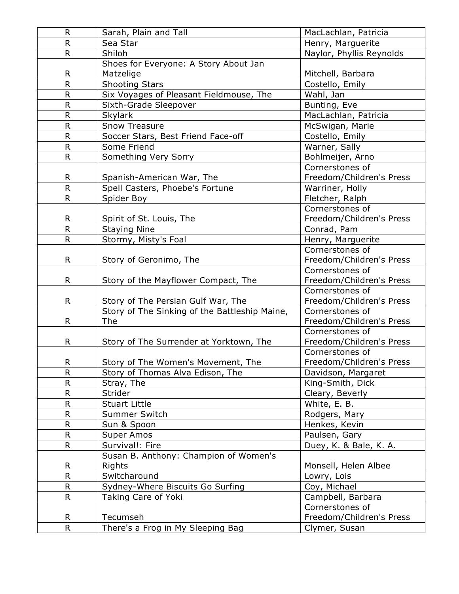| $\mathsf R$    | Sarah, Plain and Tall                         | MacLachlan, Patricia     |
|----------------|-----------------------------------------------|--------------------------|
| $\mathsf R$    | Sea Star                                      | Henry, Marguerite        |
| $\mathsf{R}$   | Shiloh                                        | Naylor, Phyllis Reynolds |
|                | Shoes for Everyone: A Story About Jan         |                          |
| R              | Matzelige                                     | Mitchell, Barbara        |
| $\overline{R}$ | <b>Shooting Stars</b>                         | Costello, Emily          |
| $\mathsf{R}$   | Six Voyages of Pleasant Fieldmouse, The       | Wahl, Jan                |
| R              | Sixth-Grade Sleepover                         | Bunting, Eve             |
| $\mathsf R$    | <b>Skylark</b>                                | MacLachlan, Patricia     |
| $\mathsf{R}$   | <b>Snow Treasure</b>                          | McSwigan, Marie          |
| $\mathsf{R}$   | Soccer Stars, Best Friend Face-off            | Costello, Emily          |
| $\mathsf R$    | Some Friend                                   | Warner, Sally            |
| $\mathsf{R}$   | Something Very Sorry                          | Bohlmeijer, Arno         |
|                |                                               | Cornerstones of          |
| R              | Spanish-American War, The                     | Freedom/Children's Press |
| $\overline{R}$ | Spell Casters, Phoebe's Fortune               | Warriner, Holly          |
| $\mathsf{R}$   | Spider Boy                                    | Fletcher, Ralph          |
|                |                                               | Cornerstones of          |
| R              | Spirit of St. Louis, The                      | Freedom/Children's Press |
| $\mathsf{R}$   | <b>Staying Nine</b>                           | Conrad, Pam              |
| $\mathsf{R}$   | Stormy, Misty's Foal                          | Henry, Marguerite        |
|                |                                               | Cornerstones of          |
| R.             | Story of Geronimo, The                        | Freedom/Children's Press |
|                |                                               | Cornerstones of          |
| R              | Story of the Mayflower Compact, The           | Freedom/Children's Press |
|                |                                               | Cornerstones of          |
| R.             | Story of The Persian Gulf War, The            | Freedom/Children's Press |
|                | Story of The Sinking of the Battleship Maine, | Cornerstones of          |
| R              | <b>The</b>                                    | Freedom/Children's Press |
|                |                                               | Cornerstones of          |
| R.             | Story of The Surrender at Yorktown, The       | Freedom/Children's Press |
|                |                                               | Cornerstones of          |
| R              | Story of The Women's Movement, The            | Freedom/Children's Press |
| $\mathsf R$    | Story of Thomas Alva Edison, The              | Davidson, Margaret       |
| $\mathsf R$    | Stray, The                                    | King-Smith, Dick         |
| $\mathsf R$    | Strider                                       | Cleary, Beverly          |
| $\mathsf{R}$   | <b>Stuart Little</b>                          | White, E. B.             |
| $\mathsf{R}$   | <b>Summer Switch</b>                          | Rodgers, Mary            |
| $\mathsf{R}$   | Sun & Spoon                                   | Henkes, Kevin            |
| R.             | Super Amos                                    | Paulsen, Gary            |
| $\mathsf{R}$   | Survival!: Fire                               | Duey, K. & Bale, K. A.   |
|                | Susan B. Anthony: Champion of Women's         |                          |
| R              | Rights                                        | Monsell, Helen Albee     |
| $\mathsf R$    | Switcharound                                  | Lowry, Lois              |
| $\mathsf R$    | Sydney-Where Biscuits Go Surfing              | Coy, Michael             |
| $\mathsf{R}$   | Taking Care of Yoki                           | Campbell, Barbara        |
|                |                                               | Cornerstones of          |
| R              | Tecumseh                                      | Freedom/Children's Press |
| $\overline{R}$ | There's a Frog in My Sleeping Bag             | Clymer, Susan            |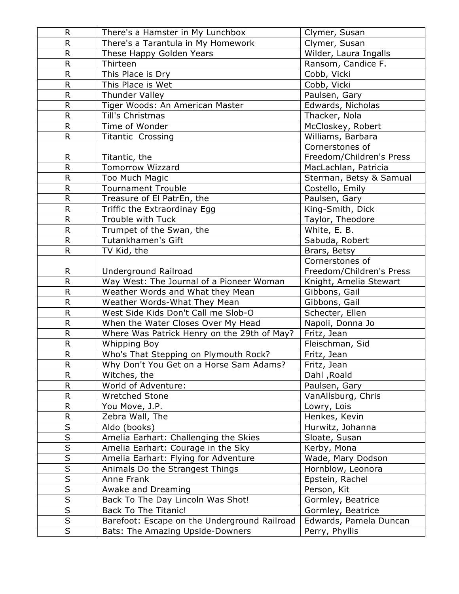| R.                           | There's a Hamster in My Lunchbox             | Clymer, Susan            |
|------------------------------|----------------------------------------------|--------------------------|
| R                            | There's a Tarantula in My Homework           | Clymer, Susan            |
| $\mathsf R$                  | These Happy Golden Years                     | Wilder, Laura Ingalls    |
| R                            | Thirteen                                     | Ransom, Candice F.       |
| R                            | This Place is Dry                            | Cobb, Vicki              |
| $\mathsf R$                  | This Place is Wet                            | Cobb, Vicki              |
| R                            | Thunder Valley                               | Paulsen, Gary            |
| R                            | Tiger Woods: An American Master              | Edwards, Nicholas        |
| $\overline{R}$               | Till's Christmas                             | Thacker, Nola            |
| R                            | Time of Wonder                               | McCloskey, Robert        |
| R                            | <b>Titantic Crossing</b>                     | Williams, Barbara        |
|                              |                                              | Cornerstones of          |
| R                            | Titantic, the                                | Freedom/Children's Press |
| R.                           | <b>Tomorrow Wizzard</b>                      | MacLachlan, Patricia     |
| R.                           | Too Much Magic                               | Sterman, Betsy & Samual  |
| R                            | <b>Tournament Trouble</b>                    | Costello, Emily          |
| R                            | Treasure of El PatrEn, the                   | Paulsen, Gary            |
| R                            | Triffic the Extraordinay Egg                 | King-Smith, Dick         |
| R                            | Trouble with Tuck                            | Taylor, Theodore         |
| R                            | Trumpet of the Swan, the                     | White, E. B.             |
| R                            | Tutankhamen's Gift                           | Sabuda, Robert           |
| R.                           | TV Kid, the                                  | Brars, Betsy             |
|                              |                                              | Cornerstones of          |
| R.                           | Underground Railroad                         | Freedom/Children's Press |
| R                            | Way West: The Journal of a Pioneer Woman     | Knight, Amelia Stewart   |
| $\overline{R}$               | Weather Words and What they Mean             | Gibbons, Gail            |
| R                            | Weather Words-What They Mean                 | Gibbons, Gail            |
| R                            | West Side Kids Don't Call me Slob-O          | Schecter, Ellen          |
| R                            | When the Water Closes Over My Head           | Napoli, Donna Jo         |
| R                            | Where Was Patrick Henry on the 29th of May?  | Fritz, Jean              |
| $\mathsf R$                  | <b>Whipping Boy</b>                          | Fleischman, Sid          |
| $\mathsf R$                  | Who's That Stepping on Plymouth Rock?        | Fritz, Jean              |
| R                            | Why Don't You Get on a Horse Sam Adams?      | Fritz, Jean              |
| R                            | Witches, the                                 | Dahl, Roald              |
| R                            | World of Adventure:                          | Paulsen, Gary            |
| R                            | Wretched Stone                               | VanAllsburg, Chris       |
| R                            | You Move, J.P.                               | Lowry, Lois              |
| R<br>$\overline{\mathsf{S}}$ | Zebra Wall, The                              | Henkes, Kevin            |
| $\overline{\mathsf{S}}$      | Aldo (books)                                 | Hurwitz, Johanna         |
| $\overline{\mathsf{S}}$      | Amelia Earhart: Challenging the Skies        | Sloate, Susan            |
| $\overline{\mathsf{s}}$      | Amelia Earhart: Courage in the Sky           | Kerby, Mona              |
| $\overline{\mathsf{s}}$      | Amelia Earhart: Flying for Adventure         | Wade, Mary Dodson        |
| $\overline{\mathsf{s}}$      | Animals Do the Strangest Things              | Hornblow, Leonora        |
| $\overline{\mathsf{s}}$      | Anne Frank                                   | Epstein, Rachel          |
| $\overline{\mathsf{s}}$      | Awake and Dreaming                           | Person, Kit              |
|                              | Back To The Day Lincoln Was Shot!            | Gormley, Beatrice        |
| $rac{S}{S}$                  | <b>Back To The Titanic!</b>                  | Gormley, Beatrice        |
|                              | Barefoot: Escape on the Underground Railroad | Edwards, Pamela Duncan   |
| $\overline{S}$               | Bats: The Amazing Upside-Downers             | Perry, Phyllis           |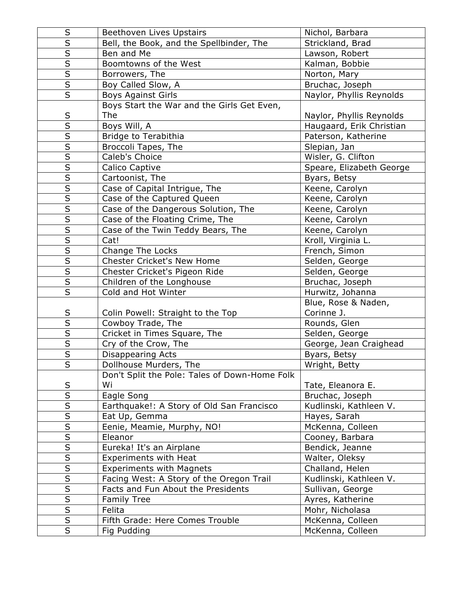| S                       | Beethoven Lives Upstairs                      | Nichol, Barbara          |
|-------------------------|-----------------------------------------------|--------------------------|
| $\overline{\mathsf{s}}$ | Bell, the Book, and the Spellbinder, The      | Strickland, Brad         |
| $\overline{\mathsf{s}}$ | Ben and Me                                    | Lawson, Robert           |
| $\overline{\mathsf{s}}$ | Boomtowns of the West                         | Kalman, Bobbie           |
| $\overline{\mathsf{S}}$ | Borrowers, The                                | Norton, Mary             |
| $\overline{\mathsf{s}}$ | Boy Called Slow, A                            | Bruchac, Joseph          |
| $\overline{\mathsf{S}}$ | <b>Boys Against Girls</b>                     | Naylor, Phyllis Reynolds |
|                         | Boys Start the War and the Girls Get Even,    |                          |
| $rac{S}{S}$             | The                                           | Naylor, Phyllis Reynolds |
|                         | Boys Will, A                                  | Haugaard, Erik Christian |
| $\overline{\mathsf{s}}$ | Bridge to Terabithia                          | Paterson, Katherine      |
| $\overline{\mathsf{s}}$ | Broccoli Tapes, The                           | Slepian, Jan             |
| $\overline{\mathsf{s}}$ | Caleb's Choice                                | Wisler, G. Clifton       |
| $\overline{\mathsf{S}}$ | Calico Captive                                | Speare, Elizabeth George |
| $\overline{\mathsf{s}}$ | Cartoonist, The                               | Byars, Betsy             |
| $\overline{\mathsf{s}}$ | Case of Capital Intrigue, The                 | Keene, Carolyn           |
| $\overline{\mathsf{S}}$ | Case of the Captured Queen                    | Keene, Carolyn           |
| $\overline{\mathsf{s}}$ | Case of the Dangerous Solution, The           | Keene, Carolyn           |
| $\overline{\mathsf{s}}$ | Case of the Floating Crime, The               | Keene, Carolyn           |
| $\overline{\mathsf{S}}$ | Case of the Twin Teddy Bears, The             | Keene, Carolyn           |
| $\overline{\mathsf{s}}$ | Cat!                                          | Kroll, Virginia L.       |
| $\overline{\mathsf{S}}$ | Change The Locks                              | French, Simon            |
| $\overline{\mathsf{s}}$ | <b>Chester Cricket's New Home</b>             | Selden, George           |
| $\overline{\mathsf{s}}$ | Chester Cricket's Pigeon Ride                 | Selden, George           |
| $\overline{\mathsf{s}}$ | Children of the Longhouse                     | Bruchac, Joseph          |
| $\overline{\mathsf{s}}$ | Cold and Hot Winter                           | Hurwitz, Johanna         |
|                         |                                               | Blue, Rose & Naden,      |
| $\sf S$                 | Colin Powell: Straight to the Top             | Corinne J.               |
| $\overline{\mathsf{s}}$ | Cowboy Trade, The                             | Rounds, Glen             |
| $\overline{\mathsf{s}}$ | Cricket in Times Square, The                  | Selden, George           |
| $\overline{\mathsf{s}}$ | Cry of the Crow, The                          | George, Jean Craighead   |
| $\overline{\mathsf{s}}$ | Disappearing Acts                             | Byars, Betsy             |
| $\overline{\mathsf{s}}$ | Dollhouse Murders, The                        | Wright, Betty            |
|                         | Don't Split the Pole: Tales of Down-Home Folk |                          |
| $\sf S$                 | Wi                                            | Tate, Eleanora E.        |
| $\overline{\mathsf{S}}$ | Eagle Song                                    | Bruchac, Joseph          |
| $\overline{\mathsf{S}}$ | Earthquake!: A Story of Old San Francisco     | Kudlinski, Kathleen V.   |
| $\overline{\mathsf{s}}$ | Eat Up, Gemma                                 | Hayes, Sarah             |
| $\overline{\mathsf{s}}$ | Eenie, Meamie, Murphy, NO!                    | McKenna, Colleen         |
| $\overline{\mathsf{s}}$ | Eleanor                                       | Cooney, Barbara          |
| $rac{S}{S}$             | Eureka! It's an Airplane                      | Bendick, Jeanne          |
|                         | Experiments with Heat                         | Walter, Oleksy           |
| $\overline{\mathsf{S}}$ | <b>Experiments with Magnets</b>               | Challand, Helen          |
| $\overline{\mathsf{S}}$ | Facing West: A Story of the Oregon Trail      | Kudlinski, Kathleen V.   |
| $\overline{\mathsf{S}}$ | Facts and Fun About the Presidents            | Sullivan, George         |
| $\overline{\mathsf{s}}$ | <b>Family Tree</b>                            | Ayres, Katherine         |
| $\overline{\mathsf{s}}$ | Felita                                        | Mohr, Nicholasa          |
| $\overline{\mathsf{S}}$ | Fifth Grade: Here Comes Trouble               | McKenna, Colleen         |
| $\overline{\mathsf{s}}$ | Fig Pudding                                   | McKenna, Colleen         |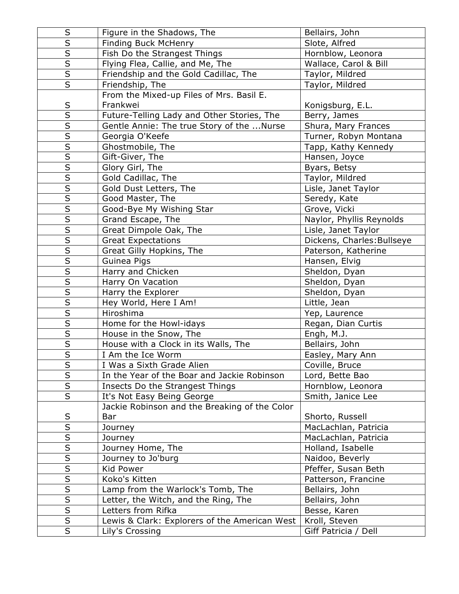| $\sf S$                 | Figure in the Shadows, The                    | Bellairs, John             |
|-------------------------|-----------------------------------------------|----------------------------|
| $\overline{\mathsf{s}}$ | Finding Buck McHenry                          | Slote, Alfred              |
|                         | Fish Do the Strangest Things                  | Hornblow, Leonora          |
| $\overline{\mathsf{s}}$ | Flying Flea, Callie, and Me, The              | Wallace, Carol & Bill      |
| $\overline{\mathsf{S}}$ | Friendship and the Gold Cadillac, The         | Taylor, Mildred            |
| $\overline{\mathsf{s}}$ | Friendship, The                               | Taylor, Mildred            |
|                         | From the Mixed-up Files of Mrs. Basil E.      |                            |
| S                       | Frankwei                                      | Konigsburg, E.L.           |
| $\overline{\mathsf{s}}$ | Future-Telling Lady and Other Stories, The    | Berry, James               |
| $\overline{\mathsf{s}}$ | Gentle Annie: The true Story of the  Nurse    | Shura, Mary Frances        |
| $\overline{\mathsf{S}}$ | Georgia O'Keefe                               | Turner, Robyn Montana      |
| $\overline{\mathsf{s}}$ | Ghostmobile, The                              | Tapp, Kathy Kennedy        |
| $\overline{\mathsf{s}}$ | Gift-Giver, The                               | Hansen, Joyce              |
| $\overline{\mathsf{s}}$ | Glory Girl, The                               | Byars, Betsy               |
| $\overline{\mathsf{s}}$ | Gold Cadillac, The                            | Taylor, Mildred            |
| $\overline{\mathsf{s}}$ | Gold Dust Letters, The                        | Lisle, Janet Taylor        |
| $\overline{\mathsf{s}}$ | Good Master, The                              | Seredy, Kate               |
| $\overline{\mathsf{s}}$ | Good-Bye My Wishing Star                      | Grove, Vicki               |
| $\overline{\mathsf{s}}$ | Grand Escape, The                             | Naylor, Phyllis Reynolds   |
| $\overline{\mathsf{s}}$ | Great Dimpole Oak, The                        | Lisle, Janet Taylor        |
| $\overline{\mathsf{s}}$ | <b>Great Expectations</b>                     | Dickens, Charles: Bullseye |
| $\overline{\mathsf{S}}$ | Great Gilly Hopkins, The                      | Paterson, Katherine        |
| $\overline{\mathsf{S}}$ | Guinea Pigs                                   | Hansen, Elvig              |
| $\overline{\mathsf{s}}$ | Harry and Chicken                             | Sheldon, Dyan              |
| $\overline{\mathsf{s}}$ | Harry On Vacation                             | Sheldon, Dyan              |
| $\overline{\mathsf{s}}$ | Harry the Explorer                            | Sheldon, Dyan              |
| $\overline{\mathsf{s}}$ | Hey World, Here I Am!                         | Little, Jean               |
| $\overline{\mathsf{S}}$ | Hiroshima                                     | Yep, Laurence              |
| $\overline{\mathsf{s}}$ | Home for the Howl-idays                       | Regan, Dian Curtis         |
| $\overline{\mathsf{S}}$ | House in the Snow, The                        | Engh, M.J.                 |
| $\overline{\mathsf{s}}$ | House with a Clock in its Walls, The          | Bellairs, John             |
| $\overline{\mathsf{S}}$ | I Am the Ice Worm                             | Easley, Mary Ann           |
| $\overline{\mathsf{S}}$ | I Was a Sixth Grade Alien                     | Coville, Bruce             |
| $\overline{\mathsf{s}}$ | In the Year of the Boar and Jackie Robinson   | Lord, Bette Bao            |
| $\overline{\mathsf{S}}$ | Insects Do the Strangest Things               | Hornblow, Leonora          |
| $\overline{\mathsf{s}}$ | It's Not Easy Being George                    | Smith, Janice Lee          |
|                         | Jackie Robinson and the Breaking of the Color |                            |
| $\sf S$                 | Bar                                           | Shorto, Russell            |
| $\overline{\mathsf{s}}$ | Journey                                       | MacLachlan, Patricia       |
| S                       | Journey                                       | MacLachlan, Patricia       |
| $\overline{\mathsf{s}}$ | Journey Home, The                             | Holland, Isabelle          |
|                         | Journey to Jo'burg                            | Naidoo, Beverly            |
| $\overline{\mathsf{S}}$ | Kid Power                                     | Pfeffer, Susan Beth        |
| $\overline{\mathsf{S}}$ | Koko's Kitten                                 | Patterson, Francine        |
| $\overline{\mathsf{s}}$ | Lamp from the Warlock's Tomb, The             | Bellairs, John             |
| $\overline{\mathsf{s}}$ | Letter, the Witch, and the Ring, The          | Bellairs, John             |
| $\overline{\mathsf{S}}$ | Letters from Rifka                            | Besse, Karen               |
| $\overline{\mathsf{s}}$ | Lewis & Clark: Explorers of the American West | Kroll, Steven              |
| $\overline{S}$          | Lily's Crossing                               | Giff Patricia / Dell       |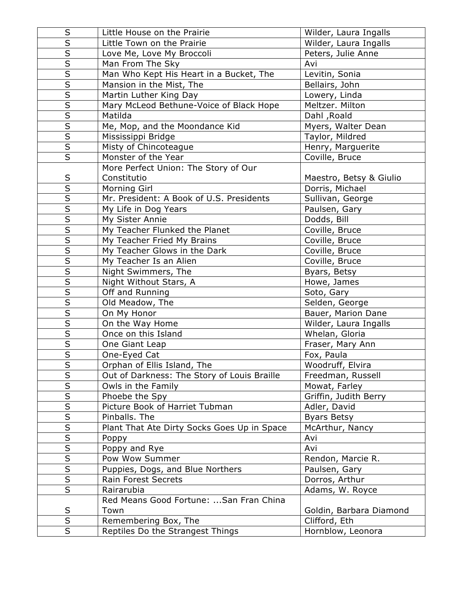| S                       | Little House on the Prairie                 | Wilder, Laura Ingalls   |
|-------------------------|---------------------------------------------|-------------------------|
| $\overline{\mathsf{s}}$ | Little Town on the Prairie                  | Wilder, Laura Ingalls   |
| $\overline{\mathsf{S}}$ | Love Me, Love My Broccoli                   | Peters, Julie Anne      |
| $\overline{\mathsf{s}}$ | Man From The Sky                            | Avi                     |
| $\overline{\mathsf{s}}$ | Man Who Kept His Heart in a Bucket, The     | Levitin, Sonia          |
| $\overline{\mathsf{s}}$ | Mansion in the Mist, The                    | Bellairs, John          |
| $\overline{\mathsf{S}}$ | Martin Luther King Day                      | Lowery, Linda           |
| $\overline{\mathsf{S}}$ | Mary McLeod Bethune-Voice of Black Hope     | Meltzer. Milton         |
|                         | Matilda                                     | Dahl, Roald             |
| $\overline{\mathsf{s}}$ | Me, Mop, and the Moondance Kid              | Myers, Walter Dean      |
| $\overline{\mathsf{s}}$ | Mississippi Bridge                          | Taylor, Mildred         |
| $\overline{\mathsf{s}}$ | Misty of Chincoteague                       | Henry, Marguerite       |
| $\overline{\mathsf{s}}$ | Monster of the Year                         | Coville, Bruce          |
|                         | More Perfect Union: The Story of Our        |                         |
| $\sf S$                 | Constitutio                                 | Maestro, Betsy & Giulio |
| $\overline{\mathsf{s}}$ | Morning Girl                                | Dorris, Michael         |
| $\overline{\mathsf{S}}$ | Mr. President: A Book of U.S. Presidents    | Sullivan, George        |
| $\overline{\mathsf{s}}$ | My Life in Dog Years                        | Paulsen, Gary           |
| $\overline{\mathsf{S}}$ | My Sister Annie                             | Dodds, Bill             |
| $\overline{\mathsf{s}}$ | My Teacher Flunked the Planet               | Coville, Bruce          |
| $\overline{\mathsf{S}}$ | My Teacher Fried My Brains                  | Coville, Bruce          |
| $\overline{\mathsf{s}}$ | My Teacher Glows in the Dark                | Coville, Bruce          |
| $\overline{\mathsf{S}}$ | My Teacher Is an Alien                      | Coville, Bruce          |
| $\overline{\mathsf{s}}$ | Night Swimmers, The                         | Byars, Betsy            |
| $\overline{\mathsf{s}}$ | Night Without Stars, A                      | Howe, James             |
| $\overline{\mathsf{s}}$ | Off and Running                             | Soto, Gary              |
| $\overline{\mathsf{S}}$ | Old Meadow, The                             | Selden, George          |
| $\overline{\mathsf{s}}$ | On My Honor                                 | Bauer, Marion Dane      |
| $\overline{\mathsf{s}}$ | On the Way Home                             | Wilder, Laura Ingalls   |
| $\overline{\mathsf{s}}$ | Once on this Island                         | Whelan, Gloria          |
| $\overline{\mathsf{s}}$ | One Giant Leap                              | Fraser, Mary Ann        |
| $\overline{\mathsf{s}}$ | One-Eyed Cat                                | Fox, Paula              |
| $\overline{\mathsf{S}}$ | Orphan of Ellis Island, The                 | Woodruff, Elvira        |
| $\overline{\mathsf{s}}$ | Out of Darkness: The Story of Louis Braille | Freedman, Russell       |
| $\sf S$                 | Owls in the Family                          | Mowat, Farley           |
| $\overline{\mathsf{S}}$ | Phoebe the Spy                              | Griffin, Judith Berry   |
| $\overline{\mathsf{S}}$ | Picture Book of Harriet Tubman              | Adler, David            |
| $\overline{\mathsf{s}}$ | Pinballs. The                               | <b>Byars Betsy</b>      |
| $\sf S$                 | Plant That Ate Dirty Socks Goes Up in Space | McArthur, Nancy         |
| $\overline{\mathsf{S}}$ | Poppy                                       | Avi                     |
| $\overline{\mathsf{s}}$ | Poppy and Rye                               | Avi                     |
| $\overline{\mathsf{s}}$ | Pow Wow Summer                              | Rendon, Marcie R.       |
| $\overline{\mathsf{s}}$ | Puppies, Dogs, and Blue Northers            | Paulsen, Gary           |
| $\overline{\mathsf{S}}$ | Rain Forest Secrets                         | Dorros, Arthur          |
| $\overline{\mathsf{S}}$ | Rairarubia                                  | Adams, W. Royce         |
|                         | Red Means Good Fortune:  San Fran China     |                         |
| S                       | Town                                        | Goldin, Barbara Diamond |
| $\overline{\mathsf{s}}$ | Remembering Box, The                        | Clifford, Eth           |
| $\overline{S}$          | Reptiles Do the Strangest Things            | Hornblow, Leonora       |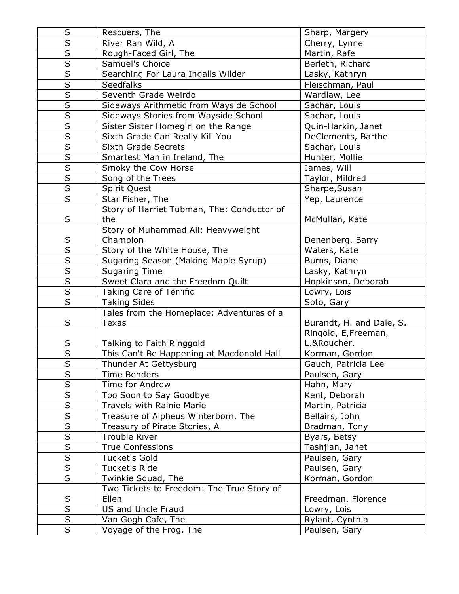| $\sf S$                 | Rescuers, The                              | Sharp, Margery           |
|-------------------------|--------------------------------------------|--------------------------|
| $\overline{s}$          | River Ran Wild, A                          | Cherry, Lynne            |
| $\overline{\mathsf{s}}$ | Rough-Faced Girl, The                      | Martin, Rafe             |
| $\overline{\mathsf{s}}$ | Samuel's Choice                            | Berleth, Richard         |
| $\overline{\mathsf{s}}$ | Searching For Laura Ingalls Wilder         | Lasky, Kathryn           |
| $\overline{\mathsf{S}}$ | <b>Seedfalks</b>                           | Fleischman, Paul         |
| $\overline{\mathsf{S}}$ | Seventh Grade Weirdo                       | Wardlaw, Lee             |
| $\overline{\mathsf{S}}$ | Sideways Arithmetic from Wayside School    | Sachar, Louis            |
| $\overline{\mathsf{s}}$ | Sideways Stories from Wayside School       | Sachar, Louis            |
| $\overline{\mathsf{s}}$ | Sister Sister Homegirl on the Range        | Quin-Harkin, Janet       |
| $\overline{\mathsf{S}}$ | Sixth Grade Can Really Kill You            | DeClements, Barthe       |
| $rac{S}{S}$             | <b>Sixth Grade Secrets</b>                 | Sachar, Louis            |
|                         | Smartest Man in Ireland, The               | Hunter, Mollie           |
| $\overline{\mathsf{s}}$ | Smoky the Cow Horse                        | James, Will              |
| $\overline{\mathsf{S}}$ | Song of the Trees                          | Taylor, Mildred          |
| $\overline{\mathsf{S}}$ | Spirit Quest                               | Sharpe, Susan            |
| $\overline{\mathsf{s}}$ | Star Fisher, The                           | Yep, Laurence            |
|                         | Story of Harriet Tubman, The: Conductor of |                          |
| S                       | the                                        | McMullan, Kate           |
|                         | Story of Muhammad Ali: Heavyweight         |                          |
| S                       | Champion                                   | Denenberg, Barry         |
| $\overline{\mathsf{s}}$ | Story of the White House, The              | Waters, Kate             |
| $\overline{\mathsf{s}}$ | Sugaring Season (Making Maple Syrup)       | Burns, Diane             |
| $\overline{\mathsf{s}}$ | <b>Sugaring Time</b>                       | Lasky, Kathryn           |
| $\overline{\mathsf{S}}$ | Sweet Clara and the Freedom Quilt          | Hopkinson, Deborah       |
| $\overline{\mathsf{s}}$ | <b>Taking Care of Terrific</b>             | Lowry, Lois              |
| $\overline{\mathsf{s}}$ | <b>Taking Sides</b>                        | Soto, Gary               |
|                         | Tales from the Homeplace: Adventures of a  |                          |
| S                       | <b>Texas</b>                               | Burandt, H. and Dale, S. |
|                         |                                            | Ringold, E, Freeman,     |
| $rac{S}{S}$             | Talking to Faith Ringgold                  | L.&Roucher,              |
|                         | This Can't Be Happening at Macdonald Hall  | Korman, Gordon           |
| $\overline{\mathsf{s}}$ | Thunder At Gettysburg                      | Gauch, Patricia Lee      |
| S                       | Time Benders                               | Paulsen, Gary            |
| $\overline{\mathsf{S}}$ | Time for Andrew                            | Hahn, Mary               |
| $\overline{S}$          | Too Soon to Say Goodbye                    | Kent, Deborah            |
| $\overline{\mathsf{s}}$ | <b>Travels with Rainie Marie</b>           | Martin, Patricia         |
| $\overline{\mathsf{S}}$ | Treasure of Alpheus Winterborn, The        | Bellairs, John           |
| $\overline{\mathsf{s}}$ | Treasury of Pirate Stories, A              | Bradman, Tony            |
| $\overline{\mathsf{s}}$ | Trouble River                              | Byars, Betsy             |
| $\overline{\mathsf{S}}$ | <b>True Confessions</b>                    | Tashjian, Janet          |
| $rac{\overline{S}}{S}$  | <b>Tucket's Gold</b>                       | Paulsen, Gary            |
|                         | Tucket's Ride                              | Paulsen, Gary            |
| $\overline{\mathsf{s}}$ | Twinkie Squad, The                         | Korman, Gordon           |
|                         | Two Tickets to Freedom: The True Story of  |                          |
| $\sf S$                 | Ellen                                      | Freedman, Florence       |
| $\overline{\mathsf{s}}$ | <b>US and Uncle Fraud</b>                  | Lowry, Lois              |
| $\overline{\mathsf{s}}$ | Van Gogh Cafe, The                         | Rylant, Cynthia          |
| $\overline{\mathsf{s}}$ | Voyage of the Frog, The                    | Paulsen, Gary            |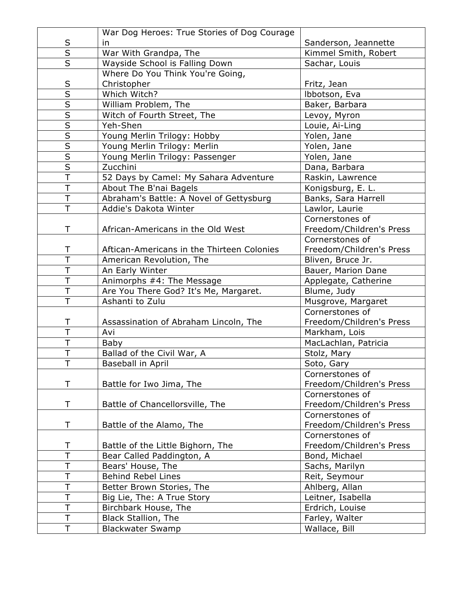|                         | War Dog Heroes: True Stories of Dog Courage |                          |
|-------------------------|---------------------------------------------|--------------------------|
| $\sf S$                 | in                                          | Sanderson, Jeannette     |
| $\overline{\mathsf{s}}$ | War With Grandpa, The                       | Kimmel Smith, Robert     |
| $\overline{\mathsf{s}}$ | Wayside School is Falling Down              | Sachar, Louis            |
|                         | Where Do You Think You're Going,            |                          |
| $\sf S$                 | Christopher                                 | Fritz, Jean              |
| $\overline{\mathsf{s}}$ | Which Witch?                                | Ibbotson, Eva            |
| $\overline{\mathsf{S}}$ | William Problem, The                        | Baker, Barbara           |
| $\overline{\mathsf{s}}$ | Witch of Fourth Street, The                 | Levoy, Myron             |
| $\overline{S}$          | Yeh-Shen                                    | Louie, Ai-Ling           |
| $\overline{\mathsf{s}}$ | Young Merlin Trilogy: Hobby                 | Yolen, Jane              |
| $\overline{\mathsf{s}}$ | Young Merlin Trilogy: Merlin                | Yolen, Jane              |
| $\overline{\mathsf{S}}$ | Young Merlin Trilogy: Passenger             | Yolen, Jane              |
| $\overline{\mathsf{S}}$ | Zucchini                                    | Dana, Barbara            |
| $\overline{\top}$       | 52 Days by Camel: My Sahara Adventure       | Raskin, Lawrence         |
| $\overline{\top}$       | About The B'nai Bagels                      | Konigsburg, E. L.        |
| $\overline{\top}$       | Abraham's Battle: A Novel of Gettysburg     | Banks, Sara Harrell      |
| T                       | Addie's Dakota Winter                       | Lawlor, Laurie           |
|                         |                                             | Cornerstones of          |
| T                       | African-Americans in the Old West           | Freedom/Children's Press |
|                         |                                             | Cornerstones of          |
| Τ                       | Aftican-Americans in the Thirteen Colonies  | Freedom/Children's Press |
| $\overline{\top}$       | American Revolution, The                    | Bliven, Bruce Jr.        |
| T                       | An Early Winter                             | Bauer, Marion Dane       |
| $\overline{\mathsf{T}}$ | Animorphs #4: The Message                   | Applegate, Catherine     |
| $\overline{\top}$       | Are You There God? It's Me, Margaret.       | Blume, Judy              |
| T                       | Ashanti to Zulu                             | Musgrove, Margaret       |
|                         |                                             | Cornerstones of          |
| Τ                       | Assassination of Abraham Lincoln, The       | Freedom/Children's Press |
| $\overline{\top}$       | Avi                                         | Markham, Lois            |
| $\overline{\top}$       | Baby                                        | MacLachlan, Patricia     |
| T                       | Ballad of the Civil War, A                  | Stolz, Mary              |
| T                       | Baseball in April                           | Soto, Gary               |
|                         |                                             | Cornerstones of          |
| Τ                       | Battle for Iwo Jima, The                    | Freedom/Children's Press |
|                         |                                             | Cornerstones of          |
| T                       | Battle of Chancellorsville, The             | Freedom/Children's Press |
|                         |                                             | Cornerstones of          |
| Τ                       | Battle of the Alamo, The                    | Freedom/Children's Press |
|                         |                                             | Cornerstones of          |
| Т                       | Battle of the Little Bighorn, The           | Freedom/Children's Press |
| T                       | Bear Called Paddington, A                   | Bond, Michael            |
| T                       | Bears' House, The                           | Sachs, Marilyn           |
| T                       | <b>Behind Rebel Lines</b>                   | Reit, Seymour            |
| T                       | Better Brown Stories, The                   | Ahlberg, Allan           |
| T                       | Big Lie, The: A True Story                  | Leitner, Isabella        |
| T                       | Birchbark House, The                        | Erdrich, Louise          |
| Τ                       | <b>Black Stallion, The</b>                  | Farley, Walter           |
| T                       | <b>Blackwater Swamp</b>                     | Wallace, Bill            |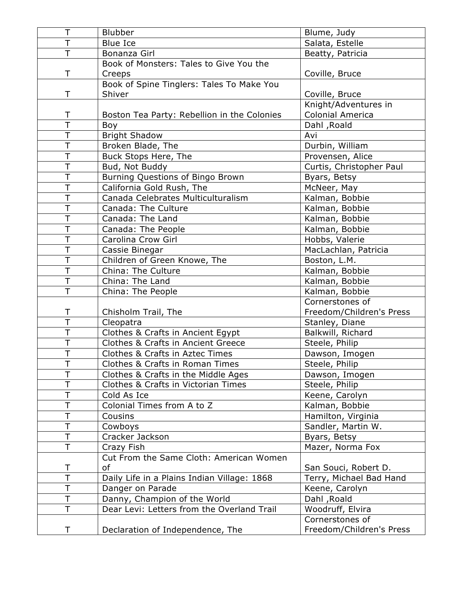| T                       | <b>Blubber</b>                                | Blume, Judy              |
|-------------------------|-----------------------------------------------|--------------------------|
| T                       | <b>Blue Ice</b>                               | Salata, Estelle          |
| T                       | Bonanza Girl                                  | Beatty, Patricia         |
|                         | Book of Monsters: Tales to Give You the       |                          |
| Τ                       | Creeps                                        | Coville, Bruce           |
|                         | Book of Spine Tinglers: Tales To Make You     |                          |
| T                       | Shiver                                        | Coville, Bruce           |
|                         |                                               | Knight/Adventures in     |
| T                       | Boston Tea Party: Rebellion in the Colonies   | <b>Colonial America</b>  |
| Ť                       | Boy                                           | Dahl, Roald              |
| T                       | <b>Bright Shadow</b>                          | Avi                      |
| T                       | Broken Blade, The                             | Durbin, William          |
| $\overline{\top}$       | Buck Stops Here, The                          | Provensen, Alice         |
| T                       | Bud, Not Buddy                                | Curtis, Christopher Paul |
| T                       | Burning Questions of Bingo Brown              | Byars, Betsy             |
| T                       | California Gold Rush, The                     | McNeer, May              |
| $\overline{\top}$       | Canada Celebrates Multiculturalism            | Kalman, Bobbie           |
| T                       | Canada: The Culture                           | Kalman, Bobbie           |
| $\overline{\top}$       | Canada: The Land                              | Kalman, Bobbie           |
| T                       | Canada: The People                            | Kalman, Bobbie           |
| T                       | Carolina Crow Girl                            | Hobbs, Valerie           |
| $\overline{\top}$       | Cassie Binegar                                | MacLachlan, Patricia     |
| $\overline{\top}$       | Children of Green Knowe, The                  | Boston, L.M.             |
| T                       | China: The Culture                            | Kalman, Bobbie           |
| $\overline{\top}$       | China: The Land                               | Kalman, Bobbie           |
| $\overline{\top}$       | China: The People                             | Kalman, Bobbie           |
|                         |                                               | Cornerstones of          |
| Τ                       | Chisholm Trail, The                           | Freedom/Children's Press |
| T                       | Cleopatra                                     | Stanley, Diane           |
| T                       | Clothes & Crafts in Ancient Egypt             | Balkwill, Richard        |
| $\overline{\mathsf{T}}$ | <b>Clothes &amp; Crafts in Ancient Greece</b> | Steele, Philip           |
| Τ                       | Clothes & Crafts in Aztec Times               | Dawson, Imogen           |
| T                       | Clothes & Crafts in Roman Times               | Steele, Philip           |
| T                       | Clothes & Crafts in the Middle Ages           | Dawson, Imogen           |
|                         | Clothes & Crafts in Victorian Times           | Steele, Philip           |
| Τ                       | Cold As Ice                                   | Keene, Carolyn           |
| T                       | Colonial Times from A to Z                    | Kalman, Bobbie           |
| Τ                       | Cousins                                       | Hamilton, Virginia       |
| T                       | Cowboys                                       | Sandler, Martin W.       |
| T                       | Cracker Jackson                               | Byars, Betsy             |
| T                       | Crazy Fish                                    | Mazer, Norma Fox         |
|                         | Cut From the Same Cloth: American Women       |                          |
| T                       | of                                            | San Souci, Robert D.     |
| T                       | Daily Life in a Plains Indian Village: 1868   | Terry, Michael Bad Hand  |
| Τ                       | Danger on Parade                              | Keene, Carolyn           |
| T                       | Danny, Champion of the World                  | Dahl, Roald              |
| T.                      | Dear Levi: Letters from the Overland Trail    | Woodruff, Elvira         |
|                         |                                               | Cornerstones of          |
| Τ                       | Declaration of Independence, The              | Freedom/Children's Press |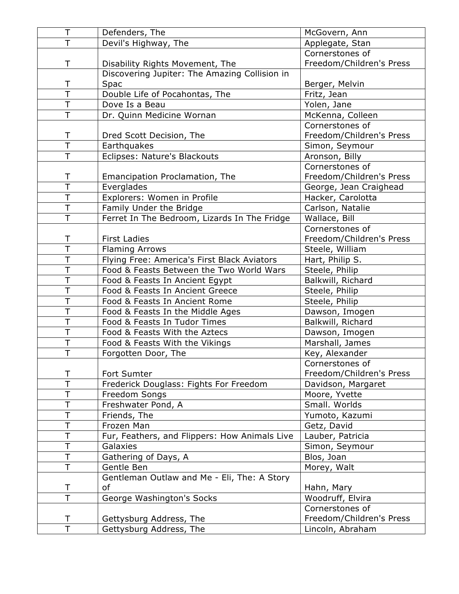| Τ                       | Defenders, The                                | McGovern, Ann            |
|-------------------------|-----------------------------------------------|--------------------------|
| $\overline{\top}$       | Devil's Highway, The                          | Applegate, Stan          |
|                         |                                               | Cornerstones of          |
| T                       | Disability Rights Movement, The               | Freedom/Children's Press |
|                         | Discovering Jupiter: The Amazing Collision in |                          |
| Τ                       | Spac                                          | Berger, Melvin           |
| $\overline{\top}$       | Double Life of Pocahontas, The                | Fritz, Jean              |
| T                       | Dove Is a Beau                                | Yolen, Jane              |
| $\overline{\top}$       | Dr. Quinn Medicine Wornan                     | McKenna, Colleen         |
|                         |                                               | Cornerstones of          |
| Τ                       | Dred Scott Decision, The                      | Freedom/Children's Press |
| $\overline{\top}$       | Earthquakes                                   | Simon, Seymour           |
| T                       | Eclipses: Nature's Blackouts                  | Aronson, Billy           |
|                         |                                               | Cornerstones of          |
| Τ                       | Emancipation Proclamation, The                | Freedom/Children's Press |
| $\overline{\top}$       | Everglades                                    | George, Jean Craighead   |
| Ť                       | Explorers: Women in Profile                   | Hacker, Carolotta        |
| T                       | Family Under the Bridge                       | Carlson, Natalie         |
| $\overline{\top}$       | Ferret In The Bedroom, Lizards In The Fridge  | Wallace, Bill            |
|                         |                                               | Cornerstones of          |
| T                       | <b>First Ladies</b>                           | Freedom/Children's Press |
| $\overline{\mathsf{T}}$ | <b>Flaming Arrows</b>                         | Steele, William          |
| $\overline{\top}$       | Flying Free: America's First Black Aviators   | Hart, Philip S.          |
| T                       | Food & Feasts Between the Two World Wars      | Steele, Philip           |
| $\overline{\top}$       | Food & Feasts In Ancient Egypt                | Balkwill, Richard        |
| $\overline{\top}$       | Food & Feasts In Ancient Greece               | Steele, Philip           |
| $\overline{\mathsf{T}}$ | Food & Feasts In Ancient Rome                 | Steele, Philip           |
| T                       | Food & Feasts In the Middle Ages              | Dawson, Imogen           |
| $\overline{\mathsf{T}}$ | Food & Feasts In Tudor Times                  | Balkwill, Richard        |
| $\overline{\top}$       | Food & Feasts With the Aztecs                 | Dawson, Imogen           |
| $\overline{\top}$       | Food & Feasts With the Vikings                | Marshall, James          |
| T                       | Forgotten Door, The                           | Key, Alexander           |
|                         |                                               | Cornerstones of          |
| Τ                       | Fort Sumter                                   | Freedom/Children's Press |
| T                       | Frederick Douglass: Fights For Freedom        | Davidson, Margaret       |
| T                       | Freedom Songs                                 | Moore, Yvette            |
| Ť                       | Freshwater Pond, A                            | Small. Worlds            |
| T                       | Friends, The                                  | Yumoto, Kazumi           |
| Т                       | Frozen Man                                    | Getz, David              |
| T                       | Fur, Feathers, and Flippers: How Animals Live | Lauber, Patricia         |
| T                       | Galaxies                                      | Simon, Seymour           |
| T                       | Gathering of Days, A                          | Blos, Joan               |
| T                       | Gentle Ben                                    | Morey, Walt              |
|                         | Gentleman Outlaw and Me - Eli, The: A Story   |                          |
| Τ                       | оf                                            | Hahn, Mary               |
| $\overline{\mathsf{T}}$ | George Washington's Socks                     | Woodruff, Elvira         |
|                         |                                               | Cornerstones of          |
| Τ                       | Gettysburg Address, The                       | Freedom/Children's Press |
| $\overline{\top}$       | Gettysburg Address, The                       | Lincoln, Abraham         |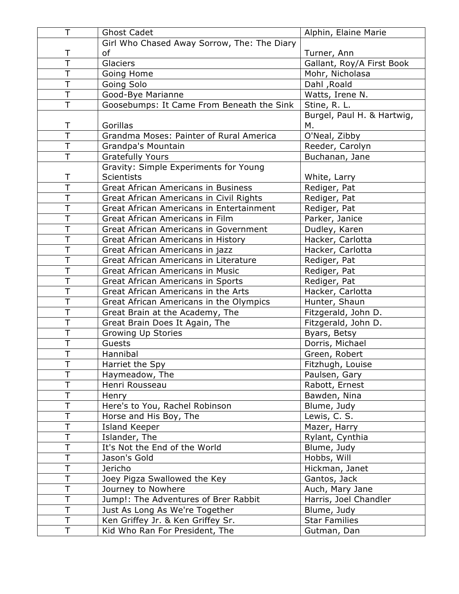| T                       | <b>Ghost Cadet</b>                          | Alphin, Elaine Marie       |
|-------------------------|---------------------------------------------|----------------------------|
|                         | Girl Who Chased Away Sorrow, The: The Diary |                            |
| Τ                       | оf                                          | Turner, Ann                |
| $\overline{\mathsf{T}}$ | Glaciers                                    | Gallant, Roy/A First Book  |
| T                       | Going Home                                  | Mohr, Nicholasa            |
| T                       | Going Solo                                  | Dahl, Roald                |
| $\overline{\top}$       | Good-Bye Marianne                           | Watts, Irene N.            |
| T                       | Goosebumps: It Came From Beneath the Sink   | Stine, R. L.               |
|                         |                                             | Burgel, Paul H. & Hartwig, |
| Τ                       | Gorillas                                    | Μ.                         |
| $\overline{\top}$       | Grandma Moses: Painter of Rural America     | O'Neal, Zibby              |
| T                       | Grandpa's Mountain                          | Reeder, Carolyn            |
| T                       | <b>Gratefully Yours</b>                     | Buchanan, Jane             |
|                         | Gravity: Simple Experiments for Young       |                            |
| Τ                       | <b>Scientists</b>                           | White, Larry               |
| $\overline{\top}$       | <b>Great African Americans in Business</b>  | Rediger, Pat               |
| T                       | Great African Americans in Civil Rights     | Rediger, Pat               |
| $\overline{\top}$       | Great African Americans in Entertainment    | Rediger, Pat               |
| $\overline{\top}$       | Great African Americans in Film             | Parker, Janice             |
| $\overline{\top}$       | Great African Americans in Government       | Dudley, Karen              |
| T                       | Great African Americans in History          | Hacker, Carlotta           |
| $\overline{\mathsf{T}}$ | Great African Americans in jazz             | Hacker, Carlotta           |
| T                       | Great African Americans in Literature       | Rediger, Pat               |
| $\overline{\top}$       | <b>Great African Americans in Music</b>     | Rediger, Pat               |
| T                       | Great African Americans in Sports           | Rediger, Pat               |
| T                       | Great African Americans in the Arts         | Hacker, Carlotta           |
| $\overline{\top}$       | Great African Americans in the Olympics     | Hunter, Shaun              |
| $\overline{\top}$       | Great Brain at the Academy, The             | Fitzgerald, John D.        |
| T                       | Great Brain Does It Again, The              | Fitzgerald, John D.        |
| $\overline{\top}$       | Growing Up Stories                          | Byars, Betsy               |
| $\overline{\top}$       | Guests                                      | Dorris, Michael            |
| $\overline{\top}$       | Hannibal                                    | Green, Robert              |
| T                       | Harriet the Spy                             | Fitzhugh, Louise           |
| Ť                       | Haymeadow, The                              | Paulsen, Gary              |
| T                       | Henri Rousseau                              | Rabott, Ernest             |
| Τ                       | Henry                                       | Bawden, Nina               |
| T                       | Here's to You, Rachel Robinson              | Blume, Judy                |
| T                       | Horse and His Boy, The                      | Lewis, C. S.               |
|                         | Island Keeper                               | Mazer, Harry               |
| T                       | Islander, The                               | Rylant, Cynthia            |
| T                       | It's Not the End of the World               | Blume, Judy                |
| T                       | Jason's Gold                                | Hobbs, Will                |
| Τ                       | Jericho                                     | Hickman, Janet             |
| T                       | Joey Pigza Swallowed the Key                | Gantos, Jack               |
| Ť                       | Journey to Nowhere                          | Auch, Mary Jane            |
| Τ                       | Jump!: The Adventures of Brer Rabbit        | Harris, Joel Chandler      |
| T                       | Just As Long As We're Together              | Blume, Judy                |
| T                       | Ken Griffey Jr. & Ken Griffey Sr.           | <b>Star Families</b>       |
| T.                      | Kid Who Ran For President, The              | Gutman, Dan                |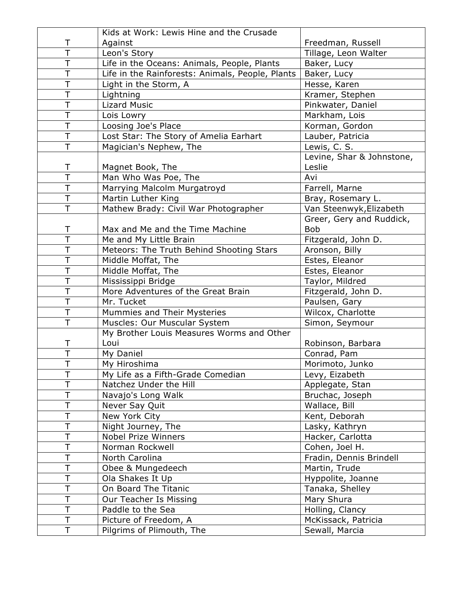|                         | Kids at Work: Lewis Hine and the Crusade         |                           |
|-------------------------|--------------------------------------------------|---------------------------|
| Τ                       | Against                                          | Freedman, Russell         |
| T                       | Leon's Story                                     | Tillage, Leon Walter      |
| T                       | Life in the Oceans: Animals, People, Plants      | Baker, Lucy               |
| T                       | Life in the Rainforests: Animals, People, Plants | Baker, Lucy               |
| $\overline{\mathsf{T}}$ | Light in the Storm, A                            | Hesse, Karen              |
| $\overline{\top}$       | Lightning                                        | Kramer, Stephen           |
| $\overline{\top}$       | <b>Lizard Music</b>                              | Pinkwater, Daniel         |
| $\overline{\top}$       | Lois Lowry                                       | Markham, Lois             |
| T                       | Loosing Joe's Place                              | Korman, Gordon            |
| $\overline{\top}$       | Lost Star: The Story of Amelia Earhart           | Lauber, Patricia          |
| T                       | Magician's Nephew, The                           | Lewis, C. S.              |
|                         |                                                  | Levine, Shar & Johnstone, |
| Τ                       | Magnet Book, The                                 | Leslie                    |
| $\overline{\top}$       | Man Who Was Poe, The                             | Avi                       |
| T                       | Marrying Malcolm Murgatroyd                      | Farrell, Marne            |
| $\overline{\top}$       | Martin Luther King                               | Bray, Rosemary L.         |
| T                       | Mathew Brady: Civil War Photographer             | Van Steenwyk, Elizabeth   |
|                         |                                                  | Greer, Gery and Ruddick,  |
| T                       | Max and Me and the Time Machine                  | <b>Bob</b>                |
| $\overline{\top}$       | Me and My Little Brain                           | Fitzgerald, John D.       |
| $\overline{\top}$       | Meteors: The Truth Behind Shooting Stars         | Aronson, Billy            |
| T                       | Middle Moffat, The                               | Estes, Eleanor            |
| $\overline{\top}$       | Middle Moffat, The                               | Estes, Eleanor            |
| T                       | Mississippi Bridge                               | Taylor, Mildred           |
| T                       | More Adventures of the Great Brain               | Fitzgerald, John D.       |
| T                       | Mr. Tucket                                       | Paulsen, Gary             |
| $\overline{\mathsf{T}}$ | Mummies and Their Mysteries                      | Wilcox, Charlotte         |
| $\overline{\mathsf{T}}$ | Muscles: Our Muscular System                     | Simon, Seymour            |
|                         | My Brother Louis Measures Worms and Other        |                           |
| Τ                       | Loui                                             | Robinson, Barbara         |
| $\overline{\top}$       | My Daniel                                        | Conrad, Pam               |
| Τ                       | My Hiroshima                                     | Morimoto, Junko           |
| Ť                       | My Life as a Fifth-Grade Comedian                | Levy, Eizabeth            |
| Τ                       | Natchez Under the Hill                           | Applegate, Stan           |
| T                       | Navajo's Long Walk                               | Bruchac, Joseph           |
| Τ                       | Never Say Quit                                   | Wallace, Bill             |
| T                       | New York City                                    | Kent, Deborah             |
| Ť                       | Night Journey, The                               | Lasky, Kathryn            |
| T                       | <b>Nobel Prize Winners</b>                       | Hacker, Carlotta          |
| Т                       | Norman Rockwell                                  | Cohen, Joel H.            |
| $\top$                  | North Carolina                                   | Fradin, Dennis Brindell   |
| T                       | Obee & Mungedeech                                | Martin, Trude             |
| T                       | Ola Shakes It Up                                 | Hyppolite, Joanne         |
| Τ                       | On Board The Titanic                             | Tanaka, Shelley           |
| T                       | Our Teacher Is Missing                           | Mary Shura                |
| Τ                       | Paddle to the Sea                                | Holling, Clancy           |
| $\mathsf T$             | Picture of Freedom, A                            | McKissack, Patricia       |
| Τ                       | Pilgrims of Plimouth, The                        | Sewall, Marcia            |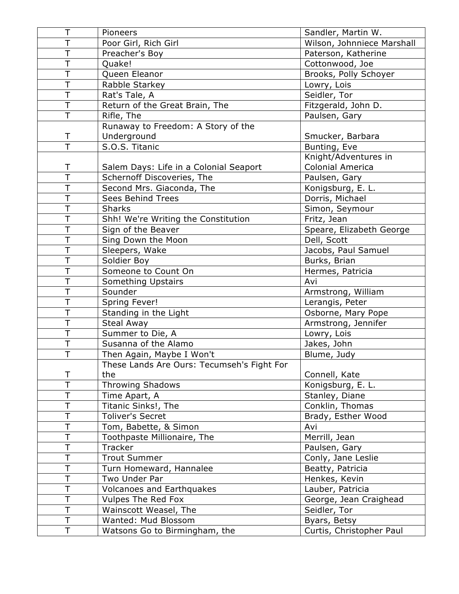| Τ                       | Pioneers                                   | Sandler, Martin W.         |
|-------------------------|--------------------------------------------|----------------------------|
| Ť                       | Poor Girl, Rich Girl                       | Wilson, Johnniece Marshall |
| T                       | Preacher's Boy                             | Paterson, Katherine        |
| T                       | Quake!                                     | Cottonwood, Joe            |
| $\overline{\top}$       | Queen Eleanor                              | Brooks, Polly Schoyer      |
| T                       | Rabble Starkey                             | Lowry, Lois                |
| $\overline{\mathsf{T}}$ | Rat's Tale, A                              | Seidler, Tor               |
| T                       | Return of the Great Brain, The             | Fitzgerald, John D.        |
| $\overline{\top}$       | Rifle, The                                 | Paulsen, Gary              |
|                         | Runaway to Freedom: A Story of the         |                            |
| Τ                       | Underground                                | Smucker, Barbara           |
| $\overline{\top}$       | S.O.S. Titanic                             | Bunting, Eve               |
|                         |                                            | Knight/Adventures in       |
| T                       | Salem Days: Life in a Colonial Seaport     | Colonial America           |
| $\overline{\top}$       | Schernoff Discoveries, The                 | Paulsen, Gary              |
| $\overline{\mathsf{T}}$ | Second Mrs. Giaconda, The                  | Konigsburg, E. L.          |
| Ť                       | Sees Behind Trees                          | Dorris, Michael            |
| T                       | <b>Sharks</b>                              | Simon, Seymour             |
| T                       | Shh! We're Writing the Constitution        | Fritz, Jean                |
| $\overline{\top}$       | Sign of the Beaver                         | Speare, Elizabeth George   |
| T                       | Sing Down the Moon                         | Dell, Scott                |
| $\overline{\top}$       | Sleepers, Wake                             | Jacobs, Paul Samuel        |
| T                       | Soldier Boy                                | Burks, Brian               |
| Ť                       | Someone to Count On                        | Hermes, Patricia           |
| T                       | Something Upstairs                         | Avi                        |
| $\overline{\mathsf{T}}$ | Sounder                                    | Armstrong, William         |
| $\overline{\top}$       | Spring Fever!                              | Lerangis, Peter            |
| $\overline{\top}$       | Standing in the Light                      | Osborne, Mary Pope         |
| T                       | Steal Away                                 | Armstrong, Jennifer        |
| $\overline{\mathsf{T}}$ | Summer to Die, A                           | Lowry, Lois                |
| T                       | Susanna of the Alamo                       | Jakes, John                |
| $\overline{\top}$       | Then Again, Maybe I Won't                  | Blume, Judy                |
|                         | These Lands Are Ours: Tecumseh's Fight For |                            |
| T                       | the                                        | Connell, Kate              |
| T                       | <b>Throwing Shadows</b>                    | Konigsburg, E. L.          |
| T                       | Time Apart, A                              | Stanley, Diane             |
| T                       | Titanic Sinks!, The                        | Conklin, Thomas            |
| Τ                       | <b>Toliver's Secret</b>                    | Brady, Esther Wood         |
| T                       | Tom, Babette, & Simon                      | Avi                        |
| T                       | Toothpaste Millionaire, The                | Merrill, Jean              |
| Τ                       | Tracker                                    | Paulsen, Gary              |
| T                       | <b>Trout Summer</b>                        | Conly, Jane Leslie         |
| T                       | Turn Homeward, Hannalee                    | Beatty, Patricia           |
| Τ                       | Two Under Par                              | Henkes, Kevin              |
| Τ                       | <b>Volcanoes and Earthquakes</b>           | Lauber, Patricia           |
| T                       | Vulpes The Red Fox                         | George, Jean Craighead     |
| Τ                       | Wainscott Weasel, The                      | Seidler, Tor               |
| T                       | Wanted: Mud Blossom                        | Byars, Betsy               |
| Τ                       | Watsons Go to Birmingham, the              | Curtis, Christopher Paul   |